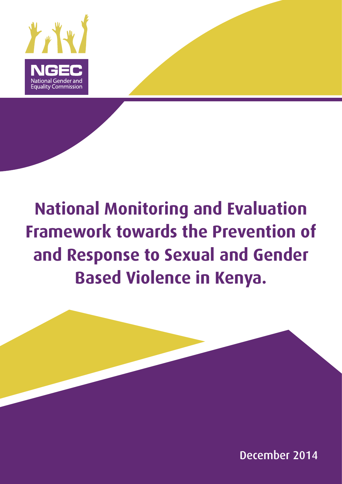

# **National Monitoring and Evaluation Framework towards the Prevention of and Response to Sexual and Gender Based Violence in Kenya.**

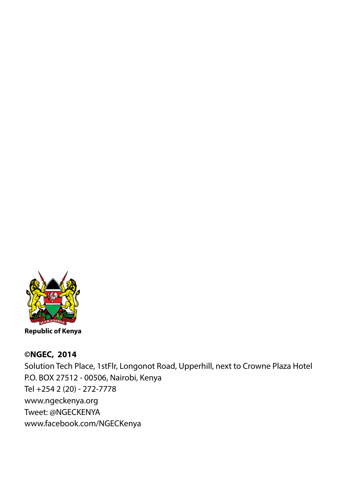

### **©NGEC, 2014**

Solution Tech Place, 1stFlr, Longonot Road, Upperhill, next to Crowne Plaza Hotel P.O. BOX 27512 - 00506, Nairobi, Kenya Tel +254 2 (20) - 272-7778 www.ngeckenya.org Tweet: @NGECKENYA www.facebook.com/NGECKenya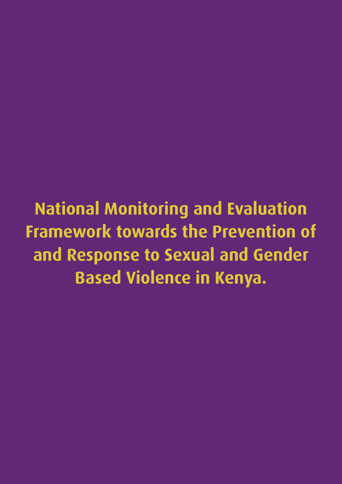**National Monitoring and Evaluation Framework towards the Prevention of and Response to Sexual and Gender Based Violence in Kenya.**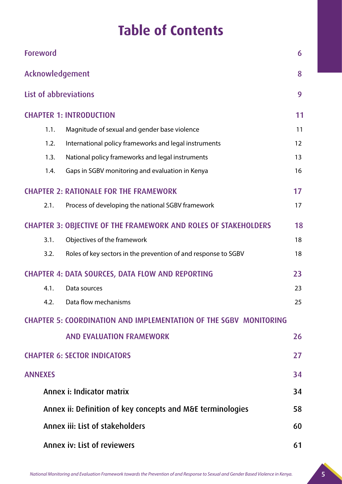### **Table of Contents**

| Foreword                            |                                                                          | 6  |  |  |  |  |  |
|-------------------------------------|--------------------------------------------------------------------------|----|--|--|--|--|--|
| Acknowledgement                     |                                                                          | 8  |  |  |  |  |  |
| List of abbreviations               |                                                                          | 9  |  |  |  |  |  |
| <b>CHAPTER 1: INTRODUCTION</b>      |                                                                          | 11 |  |  |  |  |  |
| 1.1.                                | Magnitude of sexual and gender base violence                             | 11 |  |  |  |  |  |
| 1.2.                                | International policy frameworks and legal instruments<br>12              |    |  |  |  |  |  |
| 1.3.                                | National policy frameworks and legal instruments                         | 13 |  |  |  |  |  |
| 1.4.                                | Gaps in SGBV monitoring and evaluation in Kenya                          | 16 |  |  |  |  |  |
|                                     | <b>CHAPTER 2: RATIONALE FOR THE FRAMEWORK</b>                            | 17 |  |  |  |  |  |
| 2.1.                                | Process of developing the national SGBV framework                        | 17 |  |  |  |  |  |
|                                     | <b>CHAPTER 3: OBJECTIVE OF THE FRAMEWORK AND ROLES OF STAKEHOLDERS</b>   | 18 |  |  |  |  |  |
| 3.1.                                | Objectives of the framework                                              | 18 |  |  |  |  |  |
| 3.2.                                | Roles of key sectors in the prevention of and response to SGBV           | 18 |  |  |  |  |  |
|                                     | <b>CHAPTER 4: DATA SOURCES, DATA FLOW AND REPORTING</b>                  | 23 |  |  |  |  |  |
| 4.1.<br>Data sources                |                                                                          | 23 |  |  |  |  |  |
| 4.2.                                | Data flow mechanisms                                                     | 25 |  |  |  |  |  |
|                                     | <b>CHAPTER 5: COORDINATION AND IMPLEMENTATION OF THE SGBV MONITORING</b> |    |  |  |  |  |  |
|                                     | <b>AND EVALUATION FRAMEWORK</b>                                          | 26 |  |  |  |  |  |
| <b>CHAPTER 6: SECTOR INDICATORS</b> |                                                                          | 27 |  |  |  |  |  |
| <b>ANNEXES</b>                      |                                                                          | 34 |  |  |  |  |  |
|                                     | Annex i: Indicator matrix                                                | 34 |  |  |  |  |  |
|                                     | Annex ii: Definition of key concepts and M&E terminologies               | 58 |  |  |  |  |  |
|                                     | Annex iii: List of stakeholders<br>60                                    |    |  |  |  |  |  |
|                                     | <b>Annex iv: List of reviewers</b>                                       | 61 |  |  |  |  |  |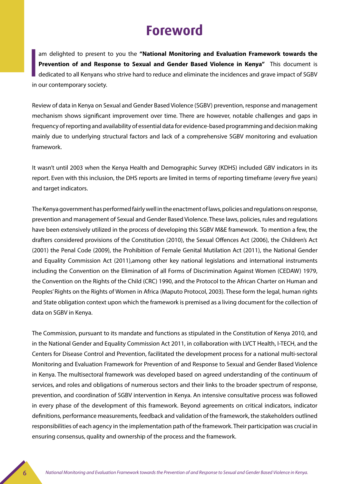### **Foreword**

**I** am delighted to present to you the **"National Monitoring and Evaluation Framework towards the Prevention of and Response to Sexual and Gender Based Violence in Kenya"** This document is dedicated to all Kenyans who strive hard to reduce and eliminate the incidences and grave impact of SGBV in our contemporary society.

Review of data in Kenya on Sexual and Gender Based Violence (SGBV) prevention, response and management mechanism shows significant improvement over time. There are however, notable challenges and gaps in frequency of reporting and availability of essential data for evidence-based programming and decision making mainly due to underlying structural factors and lack of a comprehensive SGBV monitoring and evaluation framework.

It wasn't until 2003 when the Kenya Health and Demographic Survey (KDHS) included GBV indicators in its report. Even with this inclusion, the DHS reports are limited in terms of reporting timeframe (every five years) and target indicators.

The Kenya government has performed fairly well in the enactment of laws, policies and regulations on response, prevention and management of Sexual and Gender Based Violence. These laws, policies, rules and regulations have been extensively utilized in the process of developing this SGBV M&E framework. To mention a few, the drafters considered provisions of the Constitution (2010), the Sexual Offences Act (2006), the Children's Act (2001) the Penal Code (2009), the Prohibition of Female Genital Mutilation Act (2011), the National Gender and Equality Commission Act (2011),among other key national legislations and international instruments including the Convention on the Elimination of all Forms of Discrimination Against Women (CEDAW) 1979, the Convention on the Rights of the Child (CRC) 1990, and the Protocol to the African Charter on Human and Peoples' Rights on the Rights of Women in Africa (Maputo Protocol, 2003). These form the legal, human rights and State obligation context upon which the framework is premised as a living document for the collection of data on SGBV in Kenya.

The Commission, pursuant to its mandate and functions as stipulated in the Constitution of Kenya 2010, and in the National Gender and Equality Commission Act 2011, in collaboration with LVCT Health, I-TECH, and the Centers for Disease Control and Prevention, facilitated the development process for a national multi-sectoral Monitoring and Evaluation Framework for Prevention of and Response to Sexual and Gender Based Violence in Kenya. The multisectoral framework was developed based on agreed understanding of the continuum of services, and roles and obligations of numerous sectors and their links to the broader spectrum of response, prevention, and coordination of SGBV intervention in Kenya. An intensive consultative process was followed in every phase of the development of this framework. Beyond agreements on critical indicators, indicator definitions, performance measurements, feedback and validation of the framework, the stakeholders outlined responsibilities of each agency in the implementation path of the framework. Their participation was crucial in ensuring consensus, quality and ownership of the process and the framework.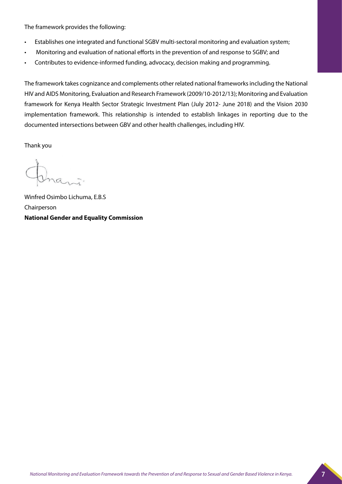The framework provides the following:

- Establishes one integrated and functional SGBV multi-sectoral monitoring and evaluation system;
- Monitoring and evaluation of national efforts in the prevention of and response to SGBV; and
- Contributes to evidence-informed funding, advocacy, decision making and programming.

The framework takes cognizance and complements other related national frameworks including the National HIV and AIDS Monitoring, Evaluation and Research Framework (2009/10-2012/13); Monitoring and Evaluation framework for Kenya Health Sector Strategic Investment Plan (July 2012- June 2018) and the Vision 2030 implementation framework. This relationship is intended to establish linkages in reporting due to the documented intersections between GBV and other health challenges, including HIV.

Thank you

Winfred Osimbo Lichuma, E.B.S Chairperson **National Gender and Equality Commission**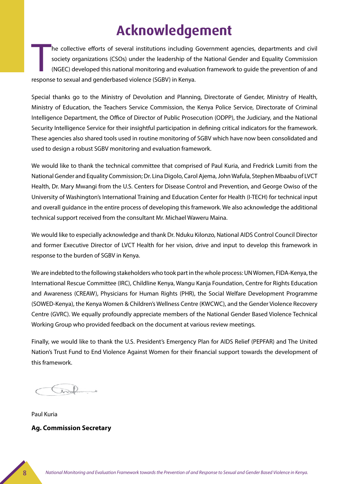### **Acknowledgement**

T he collective efforts of several institutions including Government agencies, departments and civil society organizations (CSOs) under the leadership of the National Gender and Equality Commission (NGEC) developed this national monitoring and evaluation framework to guide the prevention of and response to sexual and genderbased violence (SGBV) in Kenya.

Special thanks go to the Ministry of Devolution and Planning, Directorate of Gender, Ministry of Health, Ministry of Education, the Teachers Service Commission, the Kenya Police Service, Directorate of Criminal Intelligence Department, the Office of Director of Public Prosecution (ODPP), the Judiciary, and the National Security Intelligence Service for their insightful participation in defining critical indicators for the framework. These agencies also shared tools used in routine monitoring of SGBV which have now been consolidated and used to design a robust SGBV monitoring and evaluation framework.

We would like to thank the technical committee that comprised of Paul Kuria, and Fredrick Lumiti from the National Gender and Equality Commission; Dr. Lina Digolo, Carol Ajema, John Wafula, Stephen Mbaabu of LVCT Health, Dr. Mary Mwangi from the U.S. Centers for Disease Control and Prevention, and George Owiso of the University of Washington's International Training and Education Center for Health (I-TECH) for technical input and overall guidance in the entire process of developing this framework. We also acknowledge the additional technical support received from the consultant Mr. Michael Waweru Maina.

We would like to especially acknowledge and thank Dr. Nduku Kilonzo, National AIDS Control Council Director and former Executive Director of LVCT Health for her vision, drive and input to develop this framework in response to the burden of SGBV in Kenya.

We are indebted to the following stakeholders who took part in the whole process: UN Women, FIDA-Kenya, the International Rescue Committee (IRC), Childline Kenya, Wangu Kanja Foundation, Centre for Rights Education and Awareness (CREAW), Physicians for Human Rights (PHR), the Social Welfare Development Programme (SOWED-Kenya), the Kenya Women & Children's Wellness Centre (KWCWC), and the Gender Violence Recovery Centre (GVRC). We equally profoundly appreciate members of the National Gender Based Violence Technical Working Group who provided feedback on the document at various review meetings.

Finally, we would like to thank the U.S. President's Emergency Plan for AIDS Relief (PEPFAR) and The United Nation's Trust Fund to End Violence Against Women for their financial support towards the development of this framework.

Paul Kuria **Ag. Commission Secretary**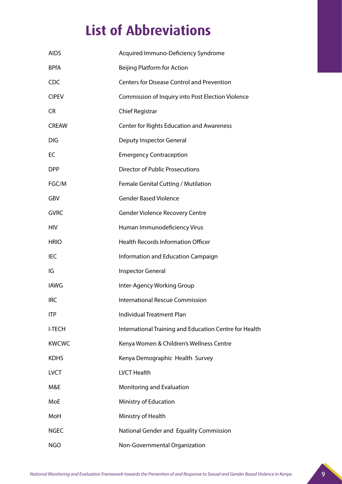## **List of Abbreviations**

| <b>AIDS</b>   | Acquired Immuno-Deficiency Syndrome                    |
|---------------|--------------------------------------------------------|
| <b>BPfA</b>   | <b>Beijing Platform for Action</b>                     |
| <b>CDC</b>    | <b>Centers for Disease Control and Prevention</b>      |
| <b>CIPEV</b>  | Commission of Inquiry into Post Election Violence      |
| CR.           | <b>Chief Registrar</b>                                 |
| <b>CREAW</b>  | <b>Center for Rights Education and Awareness</b>       |
| <b>DIG</b>    | Deputy Inspector General                               |
| EC            | <b>Emergency Contraception</b>                         |
| <b>DPP</b>    | <b>Director of Public Prosecutions</b>                 |
| FGC/M         | Female Genital Cutting / Mutilation                    |
| GBV           | <b>Gender Based Violence</b>                           |
| <b>GVRC</b>   | <b>Gender Violence Recovery Centre</b>                 |
| <b>HIV</b>    | Human Immunodeficiency Virus                           |
| <b>HRIO</b>   | <b>Health Records Information Officer</b>              |
| IEC           | Information and Education Campaign                     |
| IG            | <b>Inspector General</b>                               |
| <b>IAWG</b>   | Inter-Agency Working Group                             |
| IRC           | <b>International Rescue Commission</b>                 |
| <b>ITP</b>    | Individual Treatment Plan                              |
| <b>I-TECH</b> | International Training and Education Centre for Health |
| <b>KWCWC</b>  | Kenya Women & Children's Wellness Centre               |
| <b>KDHS</b>   | Kenya Demographic Health Survey                        |
| <b>LVCT</b>   | <b>LVCT Health</b>                                     |
| M&E           | Monitoring and Evaluation                              |
| MoE           | Ministry of Education                                  |
| MoH           | Ministry of Health                                     |
| <b>NGEC</b>   | National Gender and Equality Commission                |
| <b>NGO</b>    | Non-Governmental Organization                          |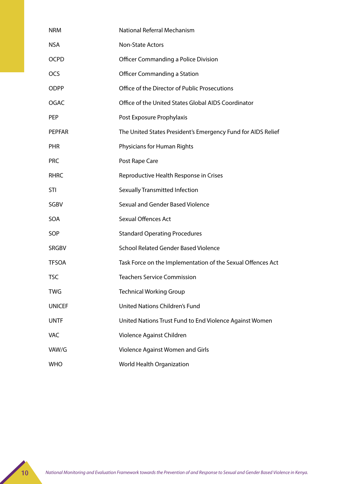| <b>NRM</b>    | National Referral Mechanism                                  |
|---------------|--------------------------------------------------------------|
| <b>NSA</b>    | <b>Non-State Actors</b>                                      |
| <b>OCPD</b>   | <b>Officer Commanding a Police Division</b>                  |
| <b>OCS</b>    | <b>Officer Commanding a Station</b>                          |
| <b>ODPP</b>   | Office of the Director of Public Prosecutions                |
| <b>OGAC</b>   | Office of the United States Global AIDS Coordinator          |
| <b>PEP</b>    | Post Exposure Prophylaxis                                    |
| PEPFAR        | The United States President's Emergency Fund for AIDS Relief |
| <b>PHR</b>    | Physicians for Human Rights                                  |
| <b>PRC</b>    | Post Rape Care                                               |
| <b>RHRC</b>   | Reproductive Health Response in Crises                       |
| STI           | <b>Sexually Transmitted Infection</b>                        |
| SGBV          | Sexual and Gender Based Violence                             |
| SOA           | <b>Sexual Offences Act</b>                                   |
| SOP           | <b>Standard Operating Procedures</b>                         |
| <b>SRGBV</b>  | School Related Gender Based Violence                         |
| <b>TFSOA</b>  | Task Force on the Implementation of the Sexual Offences Act  |
| <b>TSC</b>    | <b>Teachers Service Commission</b>                           |
| <b>TWG</b>    | <b>Technical Working Group</b>                               |
| <b>UNICEF</b> | <b>United Nations Children's Fund</b>                        |
| <b>UNTF</b>   | United Nations Trust Fund to End Violence Against Women      |
| <b>VAC</b>    | Violence Against Children                                    |
| VAW/G         | Violence Against Women and Girls                             |
| <b>WHO</b>    | World Health Organization                                    |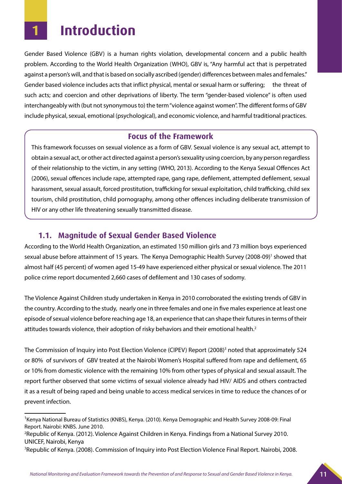### **1 Introduction**

Gender Based Violence (GBV) is a human rights violation, developmental concern and a public health problem. According to the World Health Organization (WHO), GBV is, "Any harmful act that is perpetrated against a person's will, and that is based on socially ascribed (gender) differences between males and females." Gender based violence includes acts that inflict physical, mental or sexual harm or suffering; the threat of such acts; and coercion and other deprivations of liberty. The term "gender-based violence" is often used interchangeably with (but not synonymous to) the term "violence against women". The different forms of GBV include physical, sexual, emotional (psychological), and economic violence, and harmful traditional practices.

#### **Focus of the Framework**

This framework focusses on sexual violence as a form of GBV. Sexual violence is any sexual act, attempt to obtain a sexual act, or other act directed against a person's sexuality using coercion, by any person regardless of their relationship to the victim, in any setting (WHO, 2013). According to the Kenya Sexual Offences Act (2006), sexual offences include rape, attempted rape, gang rape, defilement, attempted defilement, sexual harassment, sexual assault, forced prostitution, trafficking for sexual exploitation, child trafficking, child sex tourism, child prostitution, child pornography, among other offences including deliberate transmission of HIV or any other life threatening sexually transmitted disease.

#### **1.1. Magnitude of Sexual Gender Based Violence**

According to the World Health Organization, an estimated 150 million girls and 73 million boys experienced sexual abuse before attainment of 15 years. The Kenya Demographic Health Survey (2008-09)<sup>1</sup> showed that almost half (45 percent) of women aged 15-49 have experienced either physical or sexual violence. The 2011 police crime report documented 2,660 cases of defilement and 130 cases of sodomy.

The Violence Against Children study undertaken in Kenya in 2010 corroborated the existing trends of GBV in the country. According to the study, nearly one in three females and one in five males experience at least one episode of sexual violence before reaching age 18, an experience that can shape their futures in terms of their attitudes towards violence, their adoption of risky behaviors and their emotional health.<sup>2</sup>

The Commission of Inquiry into Post Election Violence (CIPEV) Report (2008)<sup>3</sup> noted that approximately 524 or 80% of survivors of GBV treated at the Nairobi Women's Hospital suffered from rape and defilement, 65 or 10% from domestic violence with the remaining 10% from other types of physical and sexual assault. The report further observed that some victims of sexual violence already had HIV/ AIDS and others contracted it as a result of being raped and being unable to access medical services in time to reduce the chances of or prevent infection.

<sup>&</sup>lt;sup>1</sup> Kenya National Bureau of Statistics (KNBS), Kenya. (2010). Kenya Demographic and Health Survey 2008-09: Final Report. Nairobi: KNBS. June 2010.

<sup>2</sup> Republic of Kenya. (2012). Violence Against Children in Kenya. Findings from a National Survey 2010. UNICEF, Nairobi, Kenya

<sup>3</sup> Republic of Kenya. (2008). Commission of Inquiry into Post Election Violence Final Report. Nairobi, 2008.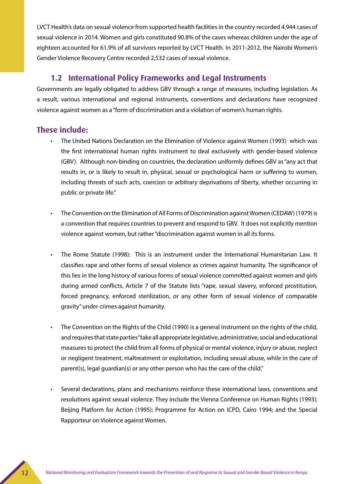LVCT Health's data on sexual violence from supported health facilities in the country recorded 4,944 cases of sexual violence in 2014. Women and girls constituted 90.8% of the cases whereas children under the age of eighteen accounted for 61.9% of all survivors reported by LVCT Health. In 2011-2012, the Nairobi Women's Gender Violence Recovery Centre recorded 2,532 cases of sexual violence.

#### **1.2 International Policy Frameworks and Legal Instruments**

Governments are legally obligated to address GBV through a range of measures, including legislation. As a result, various international and regional instruments, conventions and declarations have recognized violence against women as a "form of discrimination and a violation of women's human rights.

#### **These include:**

- The United Nations Declaration on the Elimination of Violence against Women (1993) which was the first international human rights instrument to deal exclusively with gender-based violence (GBV). Although non-binding on countries, the declaration uniformly defines GBV as "any act that results in, or is likely to result in, physical, sexual or psychological harm or suffering to women, including threats of such acts, coercion or arbitrary deprivations of liberty, whether occurring in public or private life."
- The Convention on the Elimination of All Forms of Discrimination against Women (CEDAW) (1979) is a convention that requires countries to prevent and respond to GBV. It does not explicitly mention violence against women, but rather "discrimination against women in all its forms.
- The Rome Statute (1998): This is an instrument under the International Humanitarian Law. It classifies rape and other forms of sexual violence as crimes against humanity. The significance of this lies in the long history of various forms of sexual violence committed against women and girls during armed conflicts. Article 7 of the Statute lists "rape, sexual slavery, enforced prostitution, forced pregnancy, enforced sterilization, or any other form of sexual violence of comparable gravity" under crimes against humanity.
- The Convention on the Rights of the Child (1990) is a general instrument on the rights of the child, and requires that state parties "take all appropriate legislative, administrative, social and educational measures to protect the child from all forms of physical or mental violence, injury or abuse, neglect or negligent treatment, maltreatment or exploitation, including sexual abuse, while in the care of parent(s), legal guardian(s) or any other person who has the care of the child."
- Several declarations, plans and mechanisms reinforce these international laws, conventions and resolutions against sexual violence. They include the Vienna Conference on Human Rights (1993); Beijing Platform for Action (1995); Programme for Action on ICPD, Cairo 1994; and the Special Rapporteur on Violence against Women.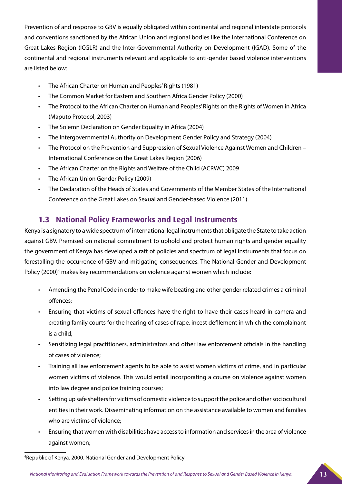Prevention of and response to GBV is equally obligated within continental and regional interstate protocols and conventions sanctioned by the African Union and regional bodies like the International Conference on Great Lakes Region (ICGLR) and the Inter-Governmental Authority on Development (IGAD). Some of the continental and regional instruments relevant and applicable to anti-gender based violence interventions are listed below:

- The African Charter on Human and Peoples' Rights (1981)
- The Common Market for Eastern and Southern Africa Gender Policy (2000)
- The Protocol to the African Charter on Human and Peoples' Rights on the Rights of Women in Africa (Maputo Protocol, 2003)
- The Solemn Declaration on Gender Equality in Africa (2004)
- The Intergovernmental Authority on Development Gender Policy and Strategy (2004)
- The Protocol on the Prevention and Suppression of Sexual Violence Against Women and Children International Conference on the Great Lakes Region (2006)
- The African Charter on the Rights and Welfare of the Child (ACRWC) 2009
- The African Union Gender Policy (2009)
- The Declaration of the Heads of States and Governments of the Member States of the International Conference on the Great Lakes on Sexual and Gender-based Violence (2011)

#### **1.3 National Policy Frameworks and Legal Instruments**

Kenya is a signatory to a wide spectrum of international legal instruments that obligate the State to take action against GBV. Premised on national commitment to uphold and protect human rights and gender equality the government of Kenya has developed a raft of policies and spectrum of legal instruments that focus on forestalling the occurrence of GBV and mitigating consequences. The National Gender and Development Policy (2000)<sup>4</sup> makes key recommendations on violence against women which include:

- Amending the Penal Code in order to make wife beating and other gender related crimes a criminal offences;
- Ensuring that victims of sexual offences have the right to have their cases heard in camera and creating family courts for the hearing of cases of rape, incest defilement in which the complainant is a child;
- • Sensitizing legal practitioners, administrators and other law enforcement officials in the handling of cases of violence;
- Training all law enforcement agents to be able to assist women victims of crime, and in particular women victims of violence. This would entail incorporating a course on violence against women into law degree and police training courses;
- Setting up safe shelters for victims of domestic violence to support the police and other sociocultural entities in their work. Disseminating information on the assistance available to women and families who are victims of violence;
- Ensuring that women with disabilities have access to information and services in the area of violence against women;

<sup>4</sup> Republic of Kenya. 2000. National Gender and Development Policy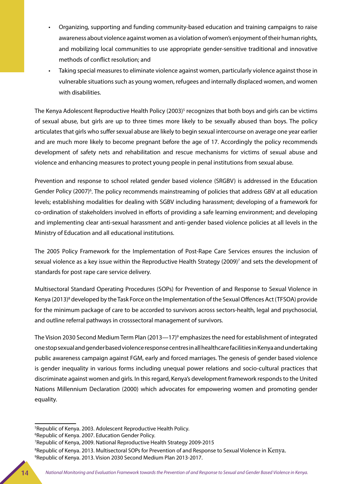- Organizing, supporting and funding community-based education and training campaigns to raise awareness about violence against women as a violation of women's enjoyment of their human rights, and mobilizing local communities to use appropriate gender-sensitive traditional and innovative methods of conflict resolution; and
- Taking special measures to eliminate violence against women, particularly violence against those in vulnerable situations such as young women, refugees and internally displaced women, and women with disabilities.

The Kenya Adolescent Reproductive Health Policy (2003)<sup>5</sup> recognizes that both boys and girls can be victims of sexual abuse, but girls are up to three times more likely to be sexually abused than boys. The policy articulates that girls who suffer sexual abuse are likely to begin sexual intercourse on average one year earlier and are much more likely to become pregnant before the age of 17. Accordingly the policy recommends development of safety nets and rehabilitation and rescue mechanisms for victims of sexual abuse and violence and enhancing measures to protect young people in penal institutions from sexual abuse.

Prevention and response to school related gender based violence (SRGBV) is addressed in the Education Gender Policy (2007)<sup>6</sup>. The policy recommends mainstreaming of policies that address GBV at all education levels; establishing modalities for dealing with SGBV including harassment; developing of a framework for co-ordination of stakeholders involved in efforts of providing a safe learning environment; and developing and implementing clear anti-sexual harassment and anti-gender based violence policies at all levels in the Ministry of Education and all educational institutions.

The 2005 Policy Framework for the Implementation of Post-Rape Care Services ensures the inclusion of sexual violence as a key issue within the Reproductive Health Strategy (2009)<sup>7</sup> and sets the development of standards for post rape care service delivery.

Multisectoral Standard Operating Procedures (SOPs) for Prevention of and Response to Sexual Violence in Kenya (2013)<sup>8</sup> developed by the Task Force on the Implementation of the Sexual Offences Act (TFSOA) provide for the minimum package of care to be accorded to survivors across sectors-health, legal and psychosocial, and outline referral pathways in crosssectoral management of survivors.

The Vision 2030 Second Medium Term Plan (2013—17)<sup>9</sup> emphasizes the need for establishment of integrated one stop sexual and gender based violence response centres in all healthcare facilities in Kenya and undertaking public awareness campaign against FGM, early and forced marriages. The genesis of gender based violence is gender inequality in various forms including unequal power relations and socio-cultural practices that discriminate against women and girls. In this regard, Kenya's development framework responds to the United Nations Millennium Declaration (2000) which advocates for empowering women and promoting gender equality.

<sup>5</sup> Republic of Kenya. 2003. Adolescent Reproductive Health Policy.

<sup>6</sup> Republic of Kenya. 2007. Education Gender Policy.

<sup>7</sup> Republic of Kenya, 2009. National Reproductive Health Strategy 2009-2015

 $^{\rm 8}$ Republic of Kenya. 2013. Multisectoral SOPs for Prevention of and Response to Sexual Violence in  ${\rm Kenya.}$ 9 Republic of Kenya. 2013. Vision 2030 Second Medium Plan 2013-2017.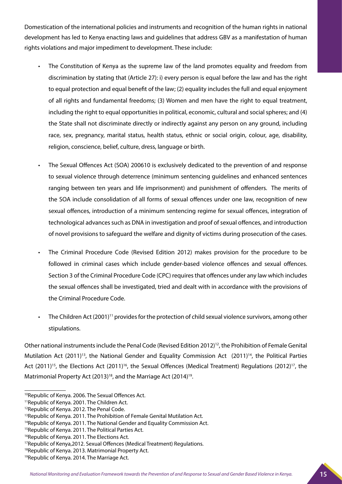Domestication of the international policies and instruments and recognition of the human rights in national development has led to Kenya enacting laws and guidelines that address GBV as a manifestation of human rights violations and major impediment to development. These include:

- The Constitution of Kenya as the supreme law of the land promotes equality and freedom from discrimination by stating that (Article 27): i) every person is equal before the law and has the right to equal protection and equal benefit of the law; (2) equality includes the full and equal enjoyment of all rights and fundamental freedoms; (3) Women and men have the right to equal treatment, including the right to equal opportunities in political, economic, cultural and social spheres; and (4) the State shall not discriminate directly or indirectly against any person on any ground, including race, sex, pregnancy, marital status, health status, ethnic or social origin, colour, age, disability, religion, conscience, belief, culture, dress, language or birth.
- The Sexual Offences Act (SOA) 200610 is exclusively dedicated to the prevention of and response to sexual violence through deterrence (minimum sentencing guidelines and enhanced sentences ranging between ten years and life imprisonment) and punishment of offenders. The merits of the SOA include consolidation of all forms of sexual offences under one law, recognition of new sexual offences, introduction of a minimum sentencing regime for sexual offences, integration of technological advances such as DNA in investigation and proof of sexual offences, and introduction of novel provisions to safeguard the welfare and dignity of victims during prosecution of the cases.
- The Criminal Procedure Code (Revised Edition 2012) makes provision for the procedure to be followed in criminal cases which include gender-based violence offences and sexual offences. Section 3 of the Criminal Procedure Code (CPC) requires that offences under any law which includes the sexual offences shall be investigated, tried and dealt with in accordance with the provisions of the Criminal Procedure Code.
- The Children Act (2001)<sup>11</sup> provides for the protection of child sexual violence survivors, among other stipulations.

Other national instruments include the Penal Code (Revised Edition 2012)12, the Prohibition of Female Genital Mutilation Act  $(2011)^{13}$ , the National Gender and Equality Commission Act  $(2011)^{14}$ , the Political Parties Act  $(2011)^{15}$ , the Elections Act  $(2011)^{16}$ , the Sexual Offences (Medical Treatment) Regulations  $(2012)^{17}$ , the Matrimonial Property Act (2013)<sup>18</sup>, and the Marriage Act (2014)<sup>19</sup>.

<sup>&</sup>lt;sup>10</sup>Republic of Kenya. 2006. The Sexual Offences Act.

<sup>11</sup>Republic of Kenya. 2001. The Children Act.

<sup>&</sup>lt;sup>12</sup>Republic of Kenya. 2012. The Penal Code.

<sup>&</sup>lt;sup>13</sup>Republic of Kenya. 2011. The Prohibition of Female Genital Mutilation Act.

<sup>&</sup>lt;sup>14</sup>Republic of Kenya. 2011. The National Gender and Equality Commission Act.

<sup>&</sup>lt;sup>15</sup>Republic of Kenya. 2011. The Political Parties Act.

<sup>&</sup>lt;sup>16</sup>Republic of Kenya. 2011. The Elections Act.

<sup>17</sup>Republic of Kenya,2012. Sexual Offences (Medical Treatment) Regulations.

<sup>&</sup>lt;sup>18</sup>Republic of Kenya. 2013. Matrimonial Property Act.

<sup>&</sup>lt;sup>19</sup>Republic of Kenya. 2014. The Marriage Act.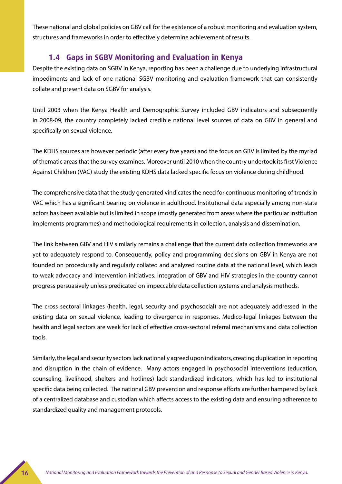These national and global policies on GBV call for the existence of a robust monitoring and evaluation system, structures and frameworks in order to effectively determine achievement of results.

#### **1.4 Gaps in SGBV Monitoring and Evaluation in Kenya**

Despite the existing data on SGBV in Kenya, reporting has been a challenge due to underlying infrastructural impediments and lack of one national SGBV monitoring and evaluation framework that can consistently collate and present data on SGBV for analysis.

Until 2003 when the Kenya Health and Demographic Survey included GBV indicators and subsequently in 2008-09, the country completely lacked credible national level sources of data on GBV in general and specifically on sexual violence.

The KDHS sources are however periodic (after every five years) and the focus on GBV is limited by the myriad of thematic areas that the survey examines. Moreover until 2010 when the country undertook its first Violence Against Children (VAC) study the existing KDHS data lacked specific focus on violence during childhood.

The comprehensive data that the study generated vindicates the need for continuous monitoring of trends in VAC which has a significant bearing on violence in adulthood. Institutional data especially among non-state actors has been available but is limited in scope (mostly generated from areas where the particular institution implements programmes) and methodological requirements in collection, analysis and dissemination.

The link between GBV and HIV similarly remains a challenge that the current data collection frameworks are yet to adequately respond to. Consequently, policy and programming decisions on GBV in Kenya are not founded on procedurally and regularly collated and analyzed routine data at the national level, which leads to weak advocacy and intervention initiatives. Integration of GBV and HIV strategies in the country cannot progress persuasively unless predicated on impeccable data collection systems and analysis methods.

The cross sectoral linkages (health, legal, security and psychosocial) are not adequately addressed in the existing data on sexual violence, leading to divergence in responses. Medico-legal linkages between the health and legal sectors are weak for lack of effective cross-sectoral referral mechanisms and data collection tools.

Similarly, the legal and security sectors lack nationally agreed upon indicators, creating duplication in reporting and disruption in the chain of evidence. Many actors engaged in psychosocial interventions (education, counseling, livelihood, shelters and hotlines) lack standardized indicators, which has led to institutional specific data being collected. The national GBV prevention and response efforts are further hampered by lack of a centralized database and custodian which affects access to the existing data and ensuring adherence to standardized quality and management protocols.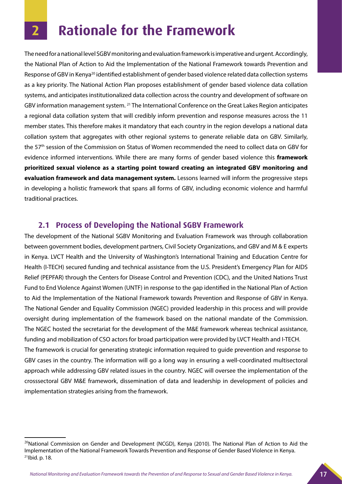## **2 Rationale for the Framework**

The need for a national level SGBV monitoring and evaluation framework is imperative and urgent. Accordingly, the National Plan of Action to Aid the Implementation of the National Framework towards Prevention and Response of GBV in Kenya<sup>20</sup> identified establishment of gender based violence related data collection systems as a key priority. The National Action Plan proposes establishment of gender based violence data collation systems, and anticipates institutionalized data collection across the country and development of software on GBV information management system. 21 The International Conference on the Great Lakes Region anticipates a regional data collation system that will credibly inform prevention and response measures across the 11 member states. This therefore makes it mandatory that each country in the region develops a national data collation system that aggregates with other regional systems to generate reliable data on GBV. Similarly, the 57th session of the Commission on Status of Women recommended the need to collect data on GBV for evidence informed interventions. While there are many forms of gender based violence this **framework prioritized sexual violence as a starting point toward creating an integrated GBV monitoring and evaluation framework and data management system.** Lessons learned will inform the progressive steps in developing a holistic framework that spans all forms of GBV, including economic violence and harmful traditional practices.

#### **2.1 Process of Developing the National SGBV Framework**

implementation strategies arising from the framework.

The development of the National SGBV Monitoring and Evaluation Framework was through collaboration between government bodies, development partners, Civil Society Organizations, and GBV and M & E experts in Kenya. LVCT Health and the University of Washington's International Training and Education Centre for Health (I-TECH) secured funding and technical assistance from the U.S. President's Emergency Plan for AIDS Relief (PEPFAR) through the Centers for Disease Control and Prevention (CDC), and the United Nations Trust Fund to End Violence Against Women (UNTF) in response to the gap identified in the National Plan of Action to Aid the Implementation of the National Framework towards Prevention and Response of GBV in Kenya. The National Gender and Equality Commission (NGEC) provided leadership in this process and will provide oversight during implementation of the framework based on the national mandate of the Commission. The NGEC hosted the secretariat for the development of the M&E framework whereas technical assistance, funding and mobilization of CSO actors for broad participation were provided by LVCT Health and I-TECH. The framework is crucial for generating strategic information required to guide prevention and response to GBV cases in the country. The information will go a long way in ensuring a well-coordinated multisectoral approach while addressing GBV related issues in the country. NGEC will oversee the implementation of the crosssectoral GBV M&E framework, dissemination of data and leadership in development of policies and

 $^{20}$ National Commission on Gender and Development (NCGD), Kenya (2010). The National Plan of Action to Aid the Implementation of the National Framework Towards Prevention and Response of Gender Based Violence in Kenya. 21Ibid. p. 18.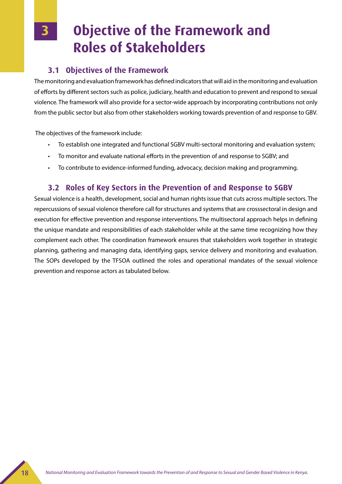### **Objective of the Framework and Roles of Stakeholders**

### **3.1 Objectives of the Framework**

The monitoring and evaluation framework has defined indicators that will aid in the monitoring and evaluation of efforts by different sectors such as police, judiciary, health and education to prevent and respond to sexual violence. The framework will also provide for a sector-wide approach by incorporating contributions not only from the public sector but also from other stakeholders working towards prevention of and response to GBV.

The objectives of the framework include:

- To establish one integrated and functional SGBV multi-sectoral monitoring and evaluation system;
- To monitor and evaluate national efforts in the prevention of and response to SGBV; and
- To contribute to evidence-informed funding, advocacy, decision making and programming.

### **3.2 Roles of Key Sectors in the Prevention of and Response to SGBV**

Sexual violence is a health, development, social and human rights issue that cuts across multiple sectors. The repercussions of sexual violence therefore call for structures and systems that are crosssectoral in design and execution for effective prevention and response interventions. The multisectoral approach helps in defining the unique mandate and responsibilities of each stakeholder while at the same time recognizing how they complement each other. The coordination framework ensures that stakeholders work together in strategic planning, gathering and managing data, identifying gaps, service delivery and monitoring and evaluation. The SOPs developed by the TFSOA outlined the roles and operational mandates of the sexual violence prevention and response actors as tabulated below.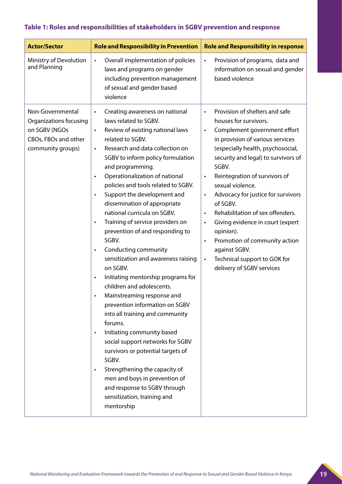#### **Table 1: Roles and responsibilities of stakeholders in SGBV prevention and response**

| <b>Actor/Sector</b>                                                                                      | <b>Role and Responsibility in Prevention</b>                                                                                                                                                                                                                                                                                                                                                                                                                                                                                                                                                                                                                                                                                                                                                                                                                                                                                                                                                                                                                                                                       | <b>Role and Responsibility in response</b>                                                                                                                                                                                                                                                                                                                                                                                                                                                                                                                                                                                          |
|----------------------------------------------------------------------------------------------------------|--------------------------------------------------------------------------------------------------------------------------------------------------------------------------------------------------------------------------------------------------------------------------------------------------------------------------------------------------------------------------------------------------------------------------------------------------------------------------------------------------------------------------------------------------------------------------------------------------------------------------------------------------------------------------------------------------------------------------------------------------------------------------------------------------------------------------------------------------------------------------------------------------------------------------------------------------------------------------------------------------------------------------------------------------------------------------------------------------------------------|-------------------------------------------------------------------------------------------------------------------------------------------------------------------------------------------------------------------------------------------------------------------------------------------------------------------------------------------------------------------------------------------------------------------------------------------------------------------------------------------------------------------------------------------------------------------------------------------------------------------------------------|
| Ministry of Devolution<br>and Planning                                                                   | Overall implementation of policies<br>$\bullet$<br>laws and programs on gender<br>including prevention management<br>of sexual and gender based<br>violence                                                                                                                                                                                                                                                                                                                                                                                                                                                                                                                                                                                                                                                                                                                                                                                                                                                                                                                                                        | Provision of programs, data and<br>$\bullet$<br>information on sexual and gender<br>based violence                                                                                                                                                                                                                                                                                                                                                                                                                                                                                                                                  |
| Non-Governmental<br>Organizations focusing<br>on SGBV (NGOs<br>CBOs, FBOs and other<br>community groups) | Creating awareness on national<br>$\bullet$<br>laws related to SGBV.<br>Review of existing national laws<br>$\bullet$<br>related to SGBV.<br>Research and data collection on<br>$\bullet$<br>SGBV to inform policy formulation<br>and programming.<br>Operationalization of national<br>policies and tools related to SGBV.<br>Support the development and<br>$\bullet$<br>dissemination of appropriate<br>national curricula on SGBV.<br>Training of service providers on<br>$\bullet$<br>prevention of and responding to<br>SGBV.<br>Conducting community<br>$\bullet$<br>sensitization and awareness raising<br>on SGBV.<br>Initiating mentorship programs for<br>$\bullet$<br>children and adolescents.<br>Mainstreaming response and<br>prevention information on SGBV<br>into all training and community<br>forums.<br>Initiating community based<br>$\bullet$<br>social support networks for SGBV<br>survivors or potential targets of<br>SGBV.<br>Strengthening the capacity of<br>$\bullet$<br>men and boys in prevention of<br>and response to SGBV through<br>sensitization, training and<br>mentorship | Provision of shelters and safe<br>$\bullet$<br>houses for survivors.<br>Complement government effort<br>$\bullet$<br>in provision of various services<br>(especially health, psychosocial,<br>security and legal) to survivors of<br>SGBV.<br>Reintegration of survivors of<br>$\bullet$<br>sexual violence.<br>Advocacy for justice for survivors<br>$\bullet$<br>of SGBV.<br>Rehabilitation of sex offenders.<br>$\bullet$<br>Giving evidence in court (expert<br>$\bullet$<br>opinion).<br>Promotion of community action<br>$\bullet$<br>against SGBV.<br>Technical support to GOK for<br>$\bullet$<br>delivery of SGBV services |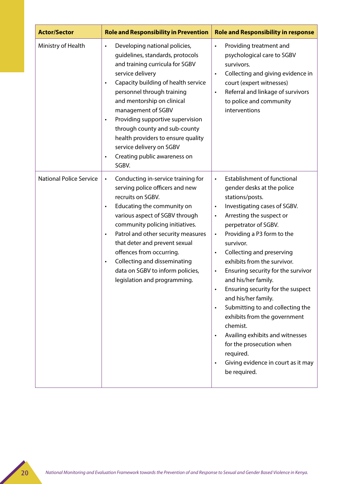| <b>Actor/Sector</b>            | <b>Role and Responsibility in Prevention</b>                                                                                                                                                                                                                                                                                                                                                                                                                             | <b>Role and Responsibility in response</b>                                                                                                                                                                                                                                                                                                                                                                                                                                                                                                                                                                                                                                                                                              |
|--------------------------------|--------------------------------------------------------------------------------------------------------------------------------------------------------------------------------------------------------------------------------------------------------------------------------------------------------------------------------------------------------------------------------------------------------------------------------------------------------------------------|-----------------------------------------------------------------------------------------------------------------------------------------------------------------------------------------------------------------------------------------------------------------------------------------------------------------------------------------------------------------------------------------------------------------------------------------------------------------------------------------------------------------------------------------------------------------------------------------------------------------------------------------------------------------------------------------------------------------------------------------|
| Ministry of Health             | Developing national policies,<br>$\bullet$<br>guidelines, standards, protocols<br>and training curricula for SGBV<br>service delivery<br>Capacity building of health service<br>$\bullet$<br>personnel through training<br>and mentorship on clinical<br>management of SGBV<br>Providing supportive supervision<br>through county and sub-county<br>health providers to ensure quality<br>service delivery on SGBV<br>Creating public awareness on<br>$\bullet$<br>SGBV. | Providing treatment and<br>$\bullet$<br>psychological care to SGBV<br>survivors.<br>Collecting and giving evidence in<br>$\bullet$<br>court (expert witnesses)<br>Referral and linkage of survivors<br>$\bullet$<br>to police and community<br>interventions                                                                                                                                                                                                                                                                                                                                                                                                                                                                            |
| <b>National Police Service</b> | Conducting in-service training for<br>$\bullet$<br>serving police officers and new<br>recruits on SGBV.<br>Educating the community on<br>$\bullet$<br>various aspect of SGBV through<br>community policing initiatives.<br>Patrol and other security measures<br>$\bullet$<br>that deter and prevent sexual<br>offences from occurring.<br>Collecting and disseminating<br>$\bullet$<br>data on SGBV to inform policies,<br>legislation and programming                  | Establishment of functional<br>gender desks at the police<br>stations/posts.<br>Investigating cases of SGBV.<br>$\bullet$<br>Arresting the suspect or<br>$\bullet$<br>perpetrator of SGBV.<br>Providing a P3 form to the<br>$\bullet$<br>survivor.<br>Collecting and preserving<br>$\bullet$<br>exhibits from the survivor.<br>Ensuring security for the survivor<br>$\bullet$<br>and his/her family.<br>Ensuring security for the suspect<br>$\bullet$<br>and his/her family.<br>Submitting to and collecting the<br>$\bullet$<br>exhibits from the government<br>chemist.<br>Availing exhibits and witnesses<br>$\bullet$<br>for the prosecution when<br>required.<br>Giving evidence in court as it may<br>$\bullet$<br>be required. |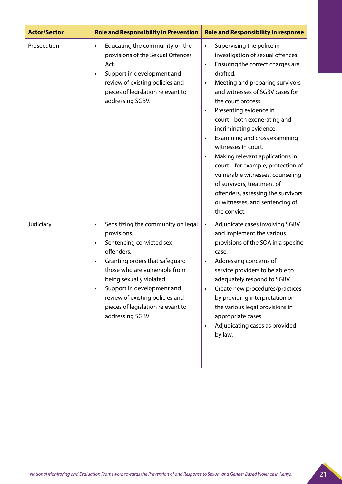| <b>Actor/Sector</b> | <b>Role and Responsibility in Prevention</b>                                                                                                                                                                                                                                                                                                                | <b>Role and Responsibility in response</b>                                                                                                                                                                                                                                                                                                                                                                                                                                                                                                                                                                                                                                |
|---------------------|-------------------------------------------------------------------------------------------------------------------------------------------------------------------------------------------------------------------------------------------------------------------------------------------------------------------------------------------------------------|---------------------------------------------------------------------------------------------------------------------------------------------------------------------------------------------------------------------------------------------------------------------------------------------------------------------------------------------------------------------------------------------------------------------------------------------------------------------------------------------------------------------------------------------------------------------------------------------------------------------------------------------------------------------------|
| Prosecution         | Educating the community on the<br>$\bullet$<br>provisions of the Sexual Offences<br>Act.<br>Support in development and<br>$\bullet$<br>review of existing policies and<br>pieces of legislation relevant to<br>addressing SGBV.                                                                                                                             | Supervising the police in<br>$\bullet$<br>investigation of sexual offences.<br>Ensuring the correct charges are<br>$\bullet$<br>drafted.<br>Meeting and preparing survivors<br>$\bullet$<br>and witnesses of SGBV cases for<br>the court process.<br>Presenting evidence in<br>$\bullet$<br>court-- both exonerating and<br>incriminating evidence.<br>Examining and cross examining<br>$\bullet$<br>witnesses in court.<br>Making relevant applications in<br>$\bullet$<br>court - for example, protection of<br>vulnerable witnesses, counseling<br>of survivors, treatment of<br>offenders, assessing the survivors<br>or witnesses, and sentencing of<br>the convict. |
| Judiciary           | Sensitizing the community on legal<br>$\bullet$<br>provisions.<br>Sentencing convicted sex<br>$\bullet$<br>offenders.<br>Granting orders that safeguard<br>those who are vulnerable from<br>being sexually violated.<br>Support in development and<br>$\bullet$<br>review of existing policies and<br>pieces of legislation relevant to<br>addressing SGBV. | Adjudicate cases involving SGBV<br>$\bullet$<br>and implement the various<br>provisions of the SOA in a specific<br>case.<br>Addressing concerns of<br>$\bullet$<br>service providers to be able to<br>adequately respond to SGBV.<br>Create new procedures/practices<br>$\bullet$<br>by providing interpretation on<br>the various legal provisions in<br>appropriate cases.<br>Adjudicating cases as provided<br>$\bullet$<br>by law.                                                                                                                                                                                                                                   |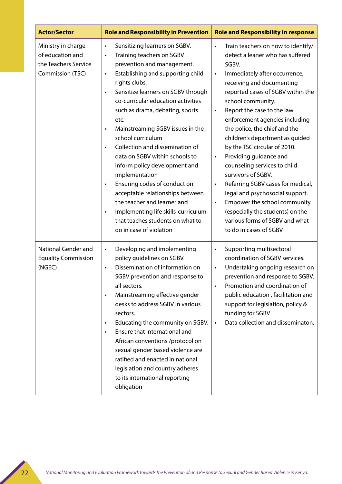| <b>Actor/Sector</b>                                                                | <b>Role and Responsibility in Prevention</b>                                                                                                                                                                                                                                                                                                                                                                                                                                                                                                                                                                                                                                                                                                               | <b>Role and Responsibility in response</b>                                                                                                                                                                                                                                                                                                                                                                                                                                                                                                                                                                                                                                                                                                        |
|------------------------------------------------------------------------------------|------------------------------------------------------------------------------------------------------------------------------------------------------------------------------------------------------------------------------------------------------------------------------------------------------------------------------------------------------------------------------------------------------------------------------------------------------------------------------------------------------------------------------------------------------------------------------------------------------------------------------------------------------------------------------------------------------------------------------------------------------------|---------------------------------------------------------------------------------------------------------------------------------------------------------------------------------------------------------------------------------------------------------------------------------------------------------------------------------------------------------------------------------------------------------------------------------------------------------------------------------------------------------------------------------------------------------------------------------------------------------------------------------------------------------------------------------------------------------------------------------------------------|
| Ministry in charge<br>of education and<br>the Teachers Service<br>Commission (TSC) | Sensitizing learners on SGBV.<br>$\bullet$<br>Training teachers on SGBV<br>$\bullet$<br>prevention and management.<br>Establishing and supporting child<br>$\bullet$<br>rights clubs.<br>Sensitize learners on SGBV through<br>$\bullet$<br>co-curricular education activities<br>such as drama, debating, sports<br>etc.<br>Mainstreaming SGBV issues in the<br>$\bullet$<br>school curriculum<br>Collection and dissemination of<br>data on SGBV within schools to<br>inform policy development and<br>implementation<br>Ensuring codes of conduct on<br>$\bullet$<br>acceptable relationships between<br>the teacher and learner and<br>Implementing life skills-curriculum<br>$\bullet$<br>that teaches students on what to<br>do in case of violation | Train teachers on how to identify/<br>$\bullet$<br>detect a leaner who has suffered<br>SGBV.<br>Immediately after occurrence,<br>$\bullet$<br>receiving and documenting<br>reported cases of SGBV within the<br>school community.<br>Report the case to the law<br>$\bullet$<br>enforcement agencies including<br>the police, the chief and the<br>children's department as guided<br>by the TSC circular of 2010.<br>Providing guidance and<br>$\bullet$<br>counseling services to child<br>survivors of SGBV.<br>Referring SGBV cases for medical,<br>$\bullet$<br>legal and psychosocial support.<br>Empower the school community<br>$\bullet$<br>(especially the students) on the<br>various forms of SGBV and what<br>to do in cases of SGBV |
| National Gender and<br><b>Equality Commission</b><br>(NGEC)                        | Developing and implementing<br>$\bullet$<br>policy quidelines on SGBV.<br>Dissemination of information on<br>$\bullet$<br>SGBV prevention and response to<br>all sectors.<br>Mainstreaming effective gender<br>$\bullet$<br>desks to address SGBV in various<br>sectors.<br>Educating the community on SGBV.<br>$\bullet$<br>Ensure that international and<br>$\bullet$<br>African conventions /protocol on<br>sexual gender based violence are<br>ratified and enacted in national<br>legislation and country adheres<br>to its international reporting<br>obligation                                                                                                                                                                                     | Supporting multisectoral<br>$\bullet$<br>coordination of SGBV services.<br>Undertaking ongoing research on<br>$\bullet$<br>prevention and response to SGBV.<br>Promotion and coordination of<br>$\bullet$<br>public education, facilitation and<br>support for legislation, policy &<br>funding for SGBV<br>Data collection and disseminaton.<br>$\bullet$                                                                                                                                                                                                                                                                                                                                                                                        |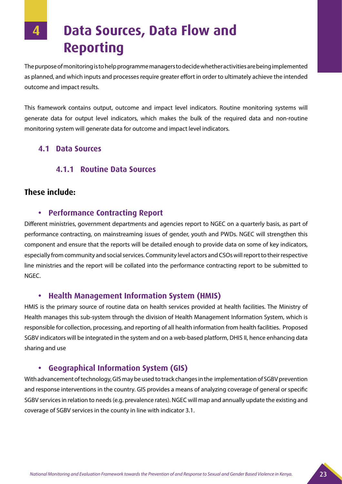**4 Data Sources, Data Flow and Reporting**

The purpose of monitoring is to help programme managers to decide whether activities are being implemented as planned, and which inputs and processes require greater effort in order to ultimately achieve the intended outcome and impact results.

This framework contains output, outcome and impact level indicators. Routine monitoring systems will generate data for output level indicators, which makes the bulk of the required data and non-routine monitoring system will generate data for outcome and impact level indicators.

#### **4.1 Data Sources**

#### **4.1.1 Routine Data Sources**

#### **These include:**

#### **• Performance Contracting Report**

Different ministries, government departments and agencies report to NGEC on a quarterly basis, as part of performance contracting, on mainstreaming issues of gender, youth and PWDs. NGEC will strengthen this component and ensure that the reports will be detailed enough to provide data on some of key indicators, especially from community and social services. Community level actors and CSOs will report to their respective line ministries and the report will be collated into the performance contracting report to be submitted to NGEC.

#### **• Health Management Information System (HMIS)**

HMIS is the primary source of routine data on health services provided at health facilities. The Ministry of Health manages this sub-system through the division of Health Management Information System, which is responsible for collection, processing, and reporting of all health information from health facilities. Proposed SGBV indicators will be integrated in the system and on a web-based platform, DHIS II, hence enhancing data sharing and use

#### **• Geographical Information System (GIS)**

With advancement of technology, GIS may be used to track changes in the implementation of SGBV prevention and response interventions in the country. GIS provides a means of analyzing coverage of general or specific SGBV services in relation to needs (e.g. prevalence rates). NGEC will map and annually update the existing and coverage of SGBV services in the county in line with indicator 3.1.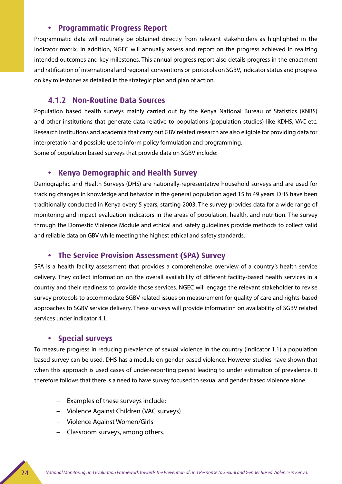#### **• Programmatic Progress Report**

Programmatic data will routinely be obtained directly from relevant stakeholders as highlighted in the indicator matrix. In addition, NGEC will annually assess and report on the progress achieved in realizing intended outcomes and key milestones. This annual progress report also details progress in the enactment and ratification of international and regional conventions or protocols on SGBV, indicator status and progress on key milestones as detailed in the strategic plan and plan of action.

#### **4.1.2 Non-Routine Data Sources**

Population based health surveys mainly carried out by the Kenya National Bureau of Statistics (KNBS) and other institutions that generate data relative to populations (population studies) like KDHS, VAC etc. Research institutions and academia that carry out GBV related research are also eligible for providing data for interpretation and possible use to inform policy formulation and programming. Some of population based surveys that provide data on SGBV include:

#### **• Kenya Demographic and Health Survey**

Demographic and Health Surveys (DHS) are nationally-representative household surveys and are used for tracking changes in knowledge and behavior in the general population aged 15 to 49 years. DHS have been traditionally conducted in Kenya every 5 years, starting 2003. The survey provides data for a wide range of monitoring and impact evaluation indicators in the areas of population, health, and nutrition. The survey through the Domestic Violence Module and ethical and safety guidelines provide methods to collect valid and reliable data on GBV while meeting the highest ethical and safety standards.

#### **• The Service Provision Assessment (SPA) Survey**

SPA is a health facility assessment that provides a comprehensive overview of a country's health service delivery. They collect information on the overall availability of different facility-based health services in a country and their readiness to provide those services. NGEC will engage the relevant stakeholder to revise survey protocols to accommodate SGBV related issues on measurement for quality of care and rights-based approaches to SGBV service delivery. These surveys will provide information on availability of SGBV related services under indicator 4.1.

#### **Special surveys**

To measure progress in reducing prevalence of sexual violence in the country (Indicator 1.1) a population based survey can be used. DHS has a module on gender based violence. However studies have shown that when this approach is used cases of under-reporting persist leading to under estimation of prevalence. It therefore follows that there is a need to have survey focused to sexual and gender based violence alone.

- Examples of these surveys include;
- Violence Against Children (VAC surveys)
- Violence Against Women/Girls
- Classroom surveys, among others.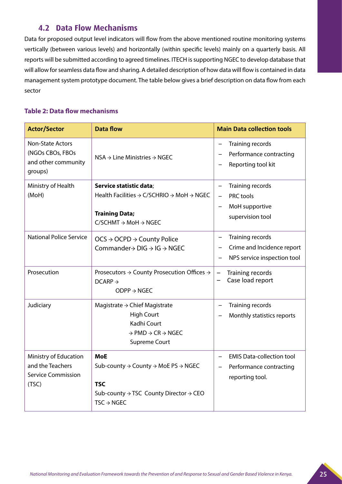#### **4.2 Data Flow Mechanisms**

Data for proposed output level indicators will flow from the above mentioned routine monitoring systems vertically (between various levels) and horizontally (within specific levels) mainly on a quarterly basis. All reports will be submitted according to agreed timelines. ITECH is supporting NGEC to develop database that will allow for seamless data flow and sharing. A detailed description of how data will flow is contained in data management system prototype document. The table below gives a brief description on data flow from each sector

#### **Table 2: Data flow mechanisms**

| <b>Actor/Sector</b>                                                             | <b>Data flow</b>                                                                                                                                                                                | <b>Main Data collection tools</b>                                                                             |
|---------------------------------------------------------------------------------|-------------------------------------------------------------------------------------------------------------------------------------------------------------------------------------------------|---------------------------------------------------------------------------------------------------------------|
| <b>Non-State Actors</b><br>(NGOs CBOs, FBOs<br>and other community<br>groups)   | $NSA \rightarrow Line$ Ministries $\rightarrow$ NGEC                                                                                                                                            | Training records<br>Performance contracting<br>Reporting tool kit                                             |
| Ministry of Health<br>(MoH)                                                     | Service statistic data;<br>Health Facilities $\rightarrow$ C/SCHRIO $\rightarrow$ MoH $\rightarrow$ NGEC<br><b>Training Data;</b><br>$C/SCHMT \rightarrow MOH \rightarrow NGEC$                 | Training records<br>$\qquad \qquad -$<br>PRC tools<br>$\qquad \qquad -$<br>MoH supportive<br>supervision tool |
| <b>National Police Service</b>                                                  | $OCS \rightarrow OCPD \rightarrow Country$ Police<br>Commander $\rightarrow$ DIG $\rightarrow$ IG $\rightarrow$ NGEC                                                                            | Training records<br>$\qquad \qquad -$<br>Crime and Incidence report<br>NPS service inspection tool            |
| Prosecution                                                                     | Prosecutors $\rightarrow$ County Prosecution Offices $\rightarrow$<br>$DCARP \rightarrow$<br>$ODPP \rightarrow NGEC$                                                                            | Training records<br>Case load report                                                                          |
| Judiciary                                                                       | Magistrate $\rightarrow$ Chief Magistrate<br><b>High Court</b><br>Kadhi Court<br>$\rightarrow$ PMD $\rightarrow$ CR $\rightarrow$ NGEC<br><b>Supreme Court</b>                                  | Training records<br>$\qquad \qquad -$<br>Monthly statistics reports                                           |
| Ministry of Education<br>and the Teachers<br><b>Service Commission</b><br>(TSC) | <b>MoE</b><br>Sub-county $\rightarrow$ County $\rightarrow$ MoE PS $\rightarrow$ NGEC<br><b>TSC</b><br>Sub-county $\rightarrow$ TSC County Director $\rightarrow$ CEO<br>$TSC \rightarrow NGEC$ | <b>EMIS Data-collection tool</b><br>$\qquad \qquad -$<br>Performance contracting<br>reporting tool.           |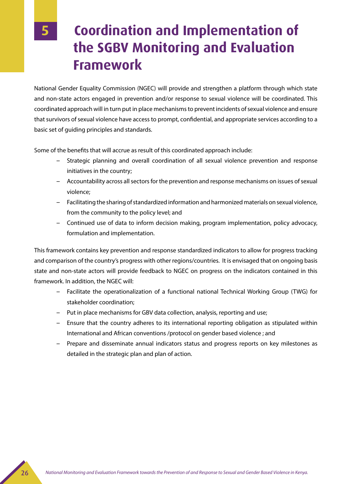### **5 Coordination and Implementation of the SGBV Monitoring and Evaluation Framework**

National Gender Equality Commission (NGEC) will provide and strengthen a platform through which state and non-state actors engaged in prevention and/or response to sexual violence will be coordinated. This coordinated approach will in turn put in place mechanisms to prevent incidents of sexual violence and ensure that survivors of sexual violence have access to prompt, confidential, and appropriate services according to a basic set of guiding principles and standards.

Some of the benefits that will accrue as result of this coordinated approach include:

- Strategic planning and overall coordination of all sexual violence prevention and response initiatives in the country;
- Accountability across all sectors for the prevention and response mechanisms on issues of sexual violence;
- Facilitating the sharing of standardized information and harmonized materials on sexual violence, from the community to the policy level; and
- Continued use of data to inform decision making, program implementation, policy advocacy, formulation and implementation.

This framework contains key prevention and response standardized indicators to allow for progress tracking and comparison of the country's progress with other regions/countries. It is envisaged that on ongoing basis state and non-state actors will provide feedback to NGEC on progress on the indicators contained in this framework. In addition, the NGEC will:

- Facilitate the operationalization of a functional national Technical Working Group (TWG) for stakeholder coordination;
- Put in place mechanisms for GBV data collection, analysis, reporting and use;
- Ensure that the country adheres to its international reporting obligation as stipulated within International and African conventions /protocol on gender based violence ; and
- Prepare and disseminate annual indicators status and progress reports on key milestones as detailed in the strategic plan and plan of action.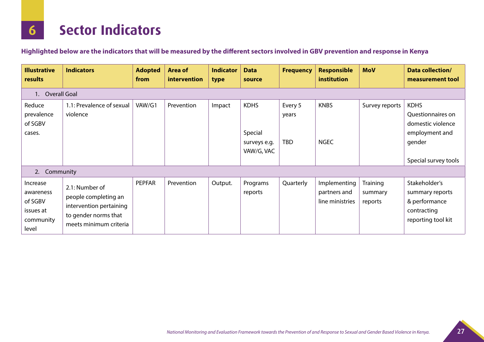## **6 Sector Indicators**

**Highlighted below are the indicators that will be measured by the different sectors involved in GBV prevention and response in Kenya**

| <b>Illustrative</b><br>results                                      | <b>Indicators</b>                                                                                                   | <b>Adopted</b><br>from | <b>Area of</b><br>intervention | <b>Indicator</b><br>type | <b>Data</b><br>source                                | <b>Frequency</b>               | <b>Responsible</b><br><b>institution</b>        | <b>MoV</b>                     | Data collection/<br>measurement tool                                                                      |
|---------------------------------------------------------------------|---------------------------------------------------------------------------------------------------------------------|------------------------|--------------------------------|--------------------------|------------------------------------------------------|--------------------------------|-------------------------------------------------|--------------------------------|-----------------------------------------------------------------------------------------------------------|
| 1. Overall Goal                                                     |                                                                                                                     |                        |                                |                          |                                                      |                                |                                                 |                                |                                                                                                           |
| Reduce<br>prevalence<br>of SGBV<br>cases.                           | 1.1: Prevalence of sexual<br>violence                                                                               | VAW/G1                 | Prevention                     | Impact                   | <b>KDHS</b><br>Special<br>surveys e.g.<br>VAW/G, VAC | Every 5<br>years<br><b>TBD</b> | <b>KNBS</b><br><b>NGEC</b>                      | Survey reports                 | <b>KDHS</b><br>Questionnaires on<br>domestic violence<br>employment and<br>gender<br>Special survey tools |
| 2. Community                                                        |                                                                                                                     |                        |                                |                          |                                                      |                                |                                                 |                                |                                                                                                           |
| Increase<br>awareness<br>of SGBV<br>issues at<br>community<br>level | 2.1: Number of<br>people completing an<br>intervention pertaining<br>to gender norms that<br>meets minimum criteria | PEPFAR                 | Prevention                     | Output.                  | Programs<br>reports                                  | Quarterly                      | Implementing<br>partners and<br>line ministries | Training<br>summary<br>reports | Stakeholder's<br>summary reports<br>& performance<br>contracting<br>reporting tool kit                    |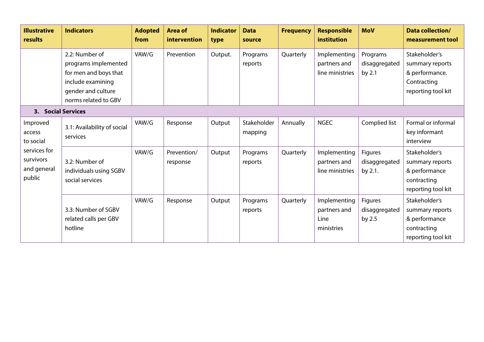| <b>Illustrative</b><br>results                                                        | <b>Indicators</b>                                                                                                                  | <b>Adopted</b><br>from | <b>Area of</b><br>intervention | <b>Indicator</b><br>type | <b>Data</b><br>source  | <b>Frequency</b> | <b>Responsible</b><br>institution                  | <b>MoV</b>                          | <b>Data collection/</b><br>measurement tool                                             |
|---------------------------------------------------------------------------------------|------------------------------------------------------------------------------------------------------------------------------------|------------------------|--------------------------------|--------------------------|------------------------|------------------|----------------------------------------------------|-------------------------------------|-----------------------------------------------------------------------------------------|
|                                                                                       | 2.2: Number of<br>programs implemented<br>for men and boys that<br>include examining<br>gender and culture<br>norms related to GBV | VAW/G                  | Prevention                     | Output.                  | Programs<br>reports    | Quarterly        | Implementing<br>partners and<br>line ministries    | Programs<br>disaggregated<br>by 2.1 | Stakeholder's<br>summary reports<br>& performance.<br>Contracting<br>reporting tool kit |
| 3. Social Services                                                                    |                                                                                                                                    |                        |                                |                          |                        |                  |                                                    |                                     |                                                                                         |
| Improved<br>access<br>to social<br>services for<br>survivors<br>and general<br>public | 3.1: Availability of social<br>services                                                                                            | VAW/G                  | Response                       | Output                   | Stakeholder<br>mapping | Annually         | <b>NGEC</b>                                        | Complied list                       | Formal or informal<br>key informant<br>interview                                        |
|                                                                                       | 3.2: Number of<br>individuals using SGBV<br>social services                                                                        | VAW/G                  | Prevention/<br>response        | Output                   | Programs<br>reports    | Quarterly        | Implementing<br>partners and<br>line ministries    | Figures<br>disaggregated<br>by 2.1. | Stakeholder's<br>summary reports<br>& performance<br>contracting<br>reporting tool kit  |
|                                                                                       | 3.3: Number of SGBV<br>related calls per GBV<br>hotline                                                                            | VAW/G                  | Response                       | Output                   | Programs<br>reports    | Quarterly        | Implementing<br>partners and<br>Line<br>ministries | Figures<br>disaggregated<br>by 2.5  | Stakeholder's<br>summary reports<br>& performance<br>contracting<br>reporting tool kit  |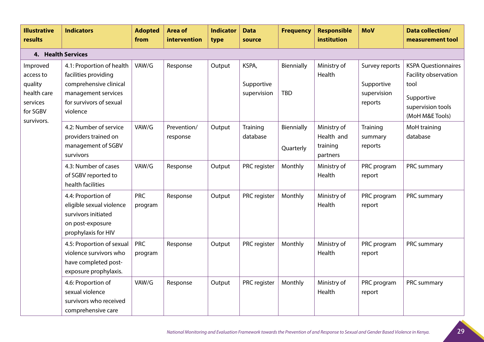| <b>Illustrative</b><br>results                                                        | <b>Indicators</b>                                                                                                                         | <b>Adopted</b><br>from | <b>Area of</b><br>intervention | <b>Indicator</b><br>type | <b>Data</b><br>source              | <b>Frequency</b>         | <b>Responsible</b><br>institution                 | <b>MoV</b>                                             | <b>Data collection/</b><br>measurement tool                                                                      |
|---------------------------------------------------------------------------------------|-------------------------------------------------------------------------------------------------------------------------------------------|------------------------|--------------------------------|--------------------------|------------------------------------|--------------------------|---------------------------------------------------|--------------------------------------------------------|------------------------------------------------------------------------------------------------------------------|
| 4. Health Services                                                                    |                                                                                                                                           |                        |                                |                          |                                    |                          |                                                   |                                                        |                                                                                                                  |
| Improved<br>access to<br>quality<br>health care<br>services<br>for SGBV<br>survivors. | 4.1: Proportion of health<br>facilities providing<br>comprehensive clinical<br>management services<br>for survivors of sexual<br>violence | VAW/G                  | Response                       | Output                   | KSPA,<br>Supportive<br>supervision | Biennially<br><b>TBD</b> | Ministry of<br>Health                             | Survey reports<br>Supportive<br>supervision<br>reports | <b>KSPA Questionnaires</b><br>Facility observation<br>tool<br>Supportive<br>supervision tools<br>(MoH M&E Tools) |
|                                                                                       | 4.2: Number of service<br>providers trained on<br>management of SGBV<br>survivors                                                         | VAW/G                  | Prevention/<br>response        | Output                   | Training<br>database               | Biennially<br>Quarterly  | Ministry of<br>Health and<br>training<br>partners | Training<br>summary<br>reports                         | MoH training<br>database                                                                                         |
|                                                                                       | 4.3: Number of cases<br>of SGBV reported to<br>health facilities                                                                          | VAW/G                  | Response                       | Output                   | PRC register                       | Monthly                  | Ministry of<br>Health                             | PRC program<br>report                                  | PRC summary                                                                                                      |
|                                                                                       | 4.4: Proportion of<br>eligible sexual violence<br>survivors initiated<br>on post-exposure<br>prophylaxis for HIV                          | <b>PRC</b><br>program  | Response                       | Output                   | PRC register                       | Monthly                  | Ministry of<br>Health                             | PRC program<br>report                                  | PRC summary                                                                                                      |
|                                                                                       | 4.5: Proportion of sexual<br>violence survivors who<br>have completed post-<br>exposure prophylaxis.                                      | <b>PRC</b><br>program  | Response                       | Output                   | PRC register                       | Monthly                  | Ministry of<br>Health                             | PRC program<br>report                                  | PRC summary                                                                                                      |
|                                                                                       | 4.6: Proportion of<br>sexual violence<br>survivors who received<br>comprehensive care                                                     | VAW/G                  | Response                       | Output                   | PRC register                       | Monthly                  | Ministry of<br>Health                             | PRC program<br>report                                  | PRC summary                                                                                                      |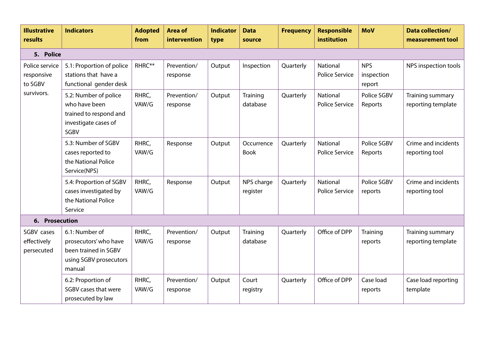| <b>Illustrative</b><br>results          | <b>Indicators</b>                                                                                   | <b>Adopted</b><br>from | <b>Area of</b><br>intervention | <b>Indicator</b><br>type | <b>Data</b><br>source     | <b>Frequency</b> | <b>Responsible</b><br>institution        | <b>MoV</b>                         | <b>Data collection/</b><br>measurement tool |
|-----------------------------------------|-----------------------------------------------------------------------------------------------------|------------------------|--------------------------------|--------------------------|---------------------------|------------------|------------------------------------------|------------------------------------|---------------------------------------------|
| 5. Police                               |                                                                                                     |                        |                                |                          |                           |                  |                                          |                                    |                                             |
| Police service<br>responsive<br>to SGBV | 5.1: Proportion of police<br>stations that have a<br>functional gender desk                         | RHRC**                 | Prevention/<br>response        | Output                   | Inspection                | Quarterly        | <b>National</b><br><b>Police Service</b> | <b>NPS</b><br>inspection<br>report | NPS inspection tools                        |
| survivors.                              | 5.2: Number of police<br>who have been<br>trained to respond and<br>investigate cases of<br>SGBV    | RHRC,<br>VAW/G         | Prevention/<br>response        | Output                   | Training<br>database      | Quarterly        | National<br><b>Police Service</b>        | Police SGBV<br>Reports             | Training summary<br>reporting template      |
|                                         | 5.3: Number of SGBV<br>cases reported to<br>the National Police<br>Service(NPS)                     | RHRC,<br>VAW/G         | Response                       | Output                   | Occurrence<br><b>Book</b> | Quarterly        | National<br><b>Police Service</b>        | Police SGBV<br>Reports             | Crime and incidents<br>reporting tool       |
|                                         | 5.4: Proportion of SGBV<br>cases investigated by<br>the National Police<br>Service                  | RHRC,<br>VAW/G         | Response                       | Output                   | NPS charge<br>register    | Quarterly        | <b>National</b><br><b>Police Service</b> | Police SGBV<br>reports             | Crime and incidents<br>reporting tool       |
| 6. Prosecution                          |                                                                                                     |                        |                                |                          |                           |                  |                                          |                                    |                                             |
| SGBV cases<br>effectively<br>persecuted | 6.1: Number of<br>prosecutors' who have<br>been trained in SGBV<br>using SGBV prosecutors<br>manual | RHRC,<br>VAW/G         | Prevention/<br>response        | Output                   | Training<br>database      | Quarterly        | Office of DPP                            | Training<br>reports                | Training summary<br>reporting template      |
|                                         | 6.2: Proportion of<br>SGBV cases that were<br>prosecuted by law                                     | RHRC,<br>VAW/G         | Prevention/<br>response        | Output                   | Court<br>registry         | Quarterly        | Office of DPP                            | Case load<br>reports               | Case load reporting<br>template             |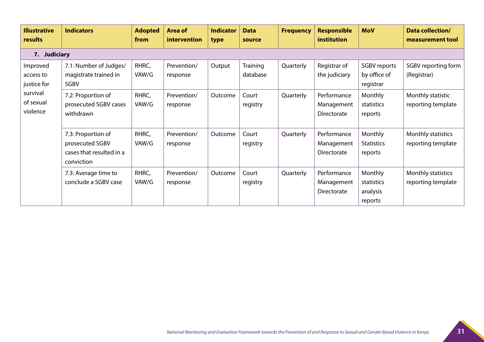| <b>Illustrative</b><br>results                                            | <b>Indicators</b>                                                               | <b>Adopted</b><br>from | <b>Area of</b><br>intervention | <b>Indicator</b><br>type | <b>Data</b><br>source | <b>Frequency</b> | <b>Responsible</b><br>institution        | <b>MoV</b>                                          | <b>Data collection/</b><br>measurement tool |
|---------------------------------------------------------------------------|---------------------------------------------------------------------------------|------------------------|--------------------------------|--------------------------|-----------------------|------------------|------------------------------------------|-----------------------------------------------------|---------------------------------------------|
| 7. Judiciary                                                              |                                                                                 |                        |                                |                          |                       |                  |                                          |                                                     |                                             |
| Improved<br>access to<br>justice for<br>survival<br>of sexual<br>violence | 7.1: Number of Judges/<br>magistrate trained in<br>SGBV                         | RHRC,<br>VAW/G         | Prevention/<br>response        | Output                   | Training<br>database  | Quarterly        | Registrar of<br>the judiciary            | <b>SGBV</b> reports<br>by office of<br>registrar    | SGBV reporting form<br>(Registrar)          |
|                                                                           | 7.2: Proportion of<br>prosecuted SGBV cases<br>withdrawn                        | RHRC,<br>VAW/G         | Prevention/<br>response        | Outcome                  | Court<br>registry     | Quarterly        | Performance<br>Management<br>Directorate | Monthly<br>statistics<br>reports                    | Monthly statistic<br>reporting template     |
|                                                                           | 7.3: Proportion of<br>prosecuted SGBV<br>cases that resulted in a<br>conviction | RHRC,<br>VAW/G         | Prevention/<br>response        | Outcome                  | Court<br>registry     | Quarterly        | Performance<br>Management<br>Directorate | Monthly<br><b>Statistics</b><br>reports             | Monthly statistics<br>reporting template    |
|                                                                           | 7.3: Average time to<br>conclude a SGBV case                                    | RHRC,<br>VAW/G         | Prevention/<br>response        | Outcome                  | Court<br>registry     | Quarterly        | Performance<br>Management<br>Directorate | <b>Monthly</b><br>statistics<br>analysis<br>reports | Monthly statistics<br>reporting template    |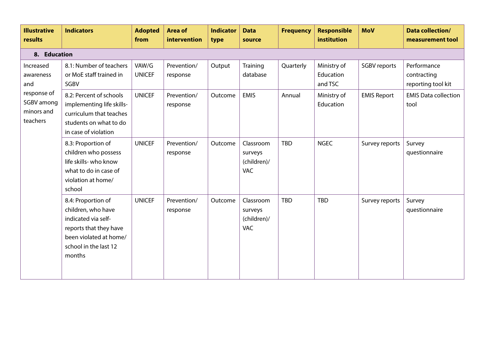| <b>Illustrative</b><br>results                                                       | <b>Indicators</b>                                                                                                                                      | <b>Adopted</b><br>from | <b>Area of</b><br>intervention | <b>Indicator</b><br>type | <b>Data</b><br>source                             | <b>Frequency</b> | <b>Responsible</b><br>institution   | <b>MoV</b>          | <b>Data collection/</b><br>measurement tool      |
|--------------------------------------------------------------------------------------|--------------------------------------------------------------------------------------------------------------------------------------------------------|------------------------|--------------------------------|--------------------------|---------------------------------------------------|------------------|-------------------------------------|---------------------|--------------------------------------------------|
| 8. Education                                                                         |                                                                                                                                                        |                        |                                |                          |                                                   |                  |                                     |                     |                                                  |
| Increased<br>awareness<br>and<br>response of<br>SGBV among<br>minors and<br>teachers | 8.1: Number of teachers<br>or MoE staff trained in<br>SGBV                                                                                             | VAW/G<br><b>UNICEF</b> | Prevention/<br>response        | Output                   | Training<br>database                              | Quarterly        | Ministry of<br>Education<br>and TSC | <b>SGBV</b> reports | Performance<br>contracting<br>reporting tool kit |
|                                                                                      | 8.2: Percent of schools<br>implementing life skills-<br>curriculum that teaches<br>students on what to do<br>in case of violation                      | <b>UNICEF</b>          | Prevention/<br>response        | Outcome                  | <b>EMIS</b>                                       | Annual           | Ministry of<br>Education            | <b>EMIS Report</b>  | <b>EMIS Data collection</b><br>tool              |
|                                                                                      | 8.3: Proportion of<br>children who possess<br>life skills-who know<br>what to do in case of<br>violation at home/<br>school                            | <b>UNICEF</b>          | Prevention/<br>response        | Outcome                  | Classroom<br>surveys<br>(children)/<br><b>VAC</b> | <b>TBD</b>       | <b>NGEC</b>                         | Survey reports      | Survey<br>questionnaire                          |
|                                                                                      | 8.4: Proportion of<br>children, who have<br>indicated via self-<br>reports that they have<br>been violated at home/<br>school in the last 12<br>months | <b>UNICEF</b>          | Prevention/<br>response        | Outcome                  | Classroom<br>surveys<br>(children)/<br><b>VAC</b> | <b>TBD</b>       | <b>TBD</b>                          | Survey reports      | Survey<br>questionnaire                          |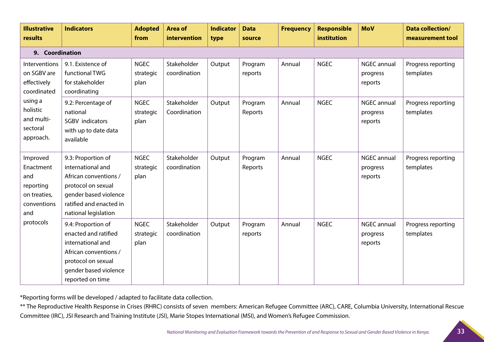| <b>Illustrative</b><br>results                                                                                           | <b>Indicators</b>                                                                                                                                                  | <b>Adopted</b><br>from           | <b>Area of</b><br>intervention | <b>Indicator</b><br>type | <b>Data</b><br>source | <b>Frequency</b> | <b>Responsible</b><br>institution | <b>MoV</b>                                | <b>Data collection/</b><br>measurement tool |
|--------------------------------------------------------------------------------------------------------------------------|--------------------------------------------------------------------------------------------------------------------------------------------------------------------|----------------------------------|--------------------------------|--------------------------|-----------------------|------------------|-----------------------------------|-------------------------------------------|---------------------------------------------|
| 9. Coordination                                                                                                          |                                                                                                                                                                    |                                  |                                |                          |                       |                  |                                   |                                           |                                             |
| Interventions<br>on SGBV are<br>effectively<br>coordinated<br>using a<br>holistic<br>and multi-<br>sectoral<br>approach. | 9.1. Existence of<br>functional TWG<br>for stakeholder<br>coordinating                                                                                             | <b>NGEC</b><br>strategic<br>plan | Stakeholder<br>coordination    | Output                   | Program<br>reports    | Annual           | <b>NGEC</b>                       | NGEC annual<br>progress<br>reports        | Progress reporting<br>templates             |
|                                                                                                                          | 9.2: Percentage of<br>national<br>SGBV indicators<br>with up to date data<br>available                                                                             | <b>NGEC</b><br>strategic<br>plan | Stakeholder<br>Coordination    | Output                   | Program<br>Reports    | Annual           | <b>NGEC</b>                       | NGEC annual<br>progress<br>reports        | Progress reporting<br>templates             |
| Improved<br>Enactment<br>and<br>reporting<br>on treaties,<br>conventions<br>and<br>protocols                             | 9.3: Proportion of<br>international and<br>African conventions /<br>protocol on sexual<br>gender based violence<br>ratified and enacted in<br>national legislation | <b>NGEC</b><br>strategic<br>plan | Stakeholder<br>coordination    | Output                   | Program<br>Reports    | Annual           | <b>NGEC</b>                       | <b>NGEC annual</b><br>progress<br>reports | Progress reporting<br>templates             |
|                                                                                                                          | 9.4: Proportion of<br>enacted and ratified<br>international and<br>African conventions /<br>protocol on sexual<br>gender based violence<br>reported on time        | <b>NGEC</b><br>strategic<br>plan | Stakeholder<br>coordination    | Output                   | Program<br>reports    | Annual           | <b>NGEC</b>                       | <b>NGEC annual</b><br>progress<br>reports | Progress reporting<br>templates             |

\*Reporting forms will be developed / adapted to facilitate data collection.

\*\* The Reproductive Health Response in Crises (RHRC) consists of seven members: American Refugee Committee (ARC), CARE, Columbia University, International Rescue Committee (IRC), JSI Research and Training Institute (JSI), Marie Stopes International (MSI), and Women's Refugee Commission.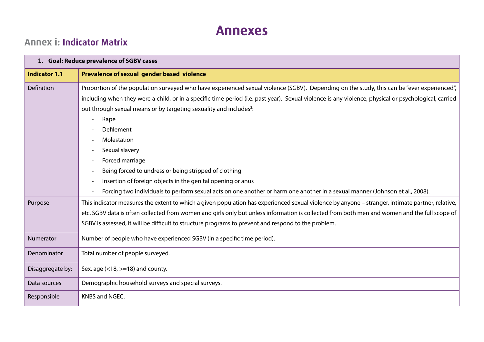### **Annexes**

### **Annex i: Indicator Matrix**

|                      | 1. Goal: Reduce prevalence of SGBV cases                                                                                                                                                                                                                                                                                                                                                                                                                                                                                                                                                                                                                                                                               |
|----------------------|------------------------------------------------------------------------------------------------------------------------------------------------------------------------------------------------------------------------------------------------------------------------------------------------------------------------------------------------------------------------------------------------------------------------------------------------------------------------------------------------------------------------------------------------------------------------------------------------------------------------------------------------------------------------------------------------------------------------|
| <b>Indicator 1.1</b> | Prevalence of sexual gender based violence                                                                                                                                                                                                                                                                                                                                                                                                                                                                                                                                                                                                                                                                             |
| Definition           | Proportion of the population surveyed who have experienced sexual violence (SGBV). Depending on the study, this can be "ever experienced",<br>including when they were a child, or in a specific time period (i.e. past year). Sexual violence is any violence, physical or psychological, carried<br>out through sexual means or by targeting sexuality and includes <sup>2</sup> :<br>Rape<br>Defilement<br>Molestation<br>Sexual slavery<br>Forced marriage<br>Being forced to undress or being stripped of clothing<br>Insertion of foreign objects in the genital opening or anus<br>Forcing two individuals to perform sexual acts on one another or harm one another in a sexual manner (Johnson et al., 2008). |
| Purpose              | This indicator measures the extent to which a given population has experienced sexual violence by anyone - stranger, intimate partner, relative,<br>etc. SGBV data is often collected from women and girls only but unless information is collected from both men and women and the full scope of<br>SGBV is assessed, it will be difficult to structure programs to prevent and respond to the problem.                                                                                                                                                                                                                                                                                                               |
| Numerator            | Number of people who have experienced SGBV (in a specific time period).                                                                                                                                                                                                                                                                                                                                                                                                                                                                                                                                                                                                                                                |
| Denominator          | Total number of people surveyed.                                                                                                                                                                                                                                                                                                                                                                                                                                                                                                                                                                                                                                                                                       |
| Disaggregate by:     | Sex, age $(<18,>=18)$ and county.                                                                                                                                                                                                                                                                                                                                                                                                                                                                                                                                                                                                                                                                                      |
| Data sources         | Demographic household surveys and special surveys.                                                                                                                                                                                                                                                                                                                                                                                                                                                                                                                                                                                                                                                                     |
| Responsible          | KNBS and NGEC.                                                                                                                                                                                                                                                                                                                                                                                                                                                                                                                                                                                                                                                                                                         |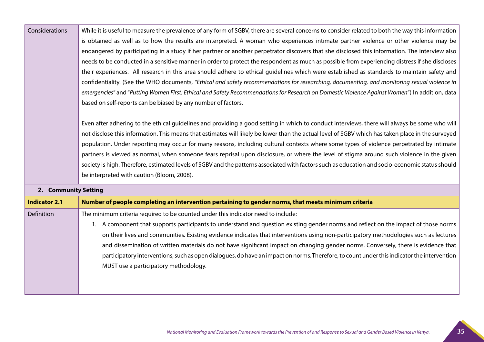| Considerations | While it is useful to measure the prevalence of any form of SGBV, there are several concerns to consider related to both the way this information |
|----------------|---------------------------------------------------------------------------------------------------------------------------------------------------|
|                | is obtained as well as to how the results are interpreted. A woman who experiences intimate partner violence or other violence may be             |
|                | endangered by participating in a study if her partner or another perpetrator discovers that she disclosed this information. The interview also    |
|                | needs to be conducted in a sensitive manner in order to protect the respondent as much as possible from experiencing distress if she discloses    |
|                | their experiences. All research in this area should adhere to ethical quidelines which were established as standards to maintain safety and       |
|                | confidentiality. (See the WHO documents, "Ethical and safety recommendations for researching, documenting, and monitoring sexual violence in      |
|                | emergencies" and "Putting Women First: Ethical and Safety Recommendations for Research on Domestic Violence Against Women") In addition, data     |
|                | based on self-reports can be biased by any number of factors.                                                                                     |
|                |                                                                                                                                                   |
|                | Even after adhering to the ethical guidelines and providing a good setting in which to conduct interviews, there will always be some who will     |
|                | not disclose this information. This means that estimates will likely be lower than the actual level of SGBV which has taken place in the surveyed |
|                | population. Under reporting may occur for many reasons, including cultural contexts where some types of violence perpetrated by intimate          |
|                | partners is viewed as normal, when someone fears reprisal upon disclosure, or where the level of stigma around such violence in the given         |

society is high. Therefore, estimated levels of SGBV and the patterns associated with factors such as education and socio-economic status should

be interpreted with caution (Bloom, 2008).

#### **2. Community Setting**

| <b>Indicator 2.1</b> | Number of people completing an intervention pertaining to gender norms, that meets minimum criteria                                        |
|----------------------|--------------------------------------------------------------------------------------------------------------------------------------------|
| Definition           | The minimum criteria required to be counted under this indicator need to include:                                                          |
|                      | 1. A component that supports participants to understand and question existing gender norms and reflect on the impact of those norms        |
|                      | on their lives and communities. Existing evidence indicates that interventions using non-participatory methodologies such as lectures      |
|                      | and dissemination of written materials do not have significant impact on changing gender norms. Conversely, there is evidence that         |
|                      | participatory interventions, such as open dialogues, do have an impact on norms. Therefore, to count under this indicator the intervention |
|                      | MUST use a participatory methodology.                                                                                                      |
|                      |                                                                                                                                            |
|                      |                                                                                                                                            |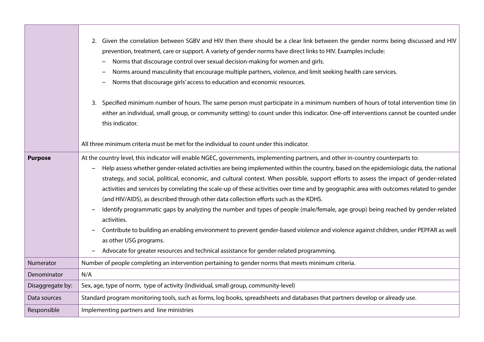|                  | 2. Given the correlation between SGBV and HIV then there should be a clear link between the gender norms being discussed and HIV<br>prevention, treatment, care or support. A variety of gender norms have direct links to HIV. Examples include:<br>Norms that discourage control over sexual decision-making for women and girls.<br>Norms around masculinity that encourage multiple partners, violence, and limit seeking health care services.<br>Norms that discourage girls' access to education and economic resources.<br>3. Specified minimum number of hours. The same person must participate in a minimum numbers of hours of total intervention time (in<br>either an individual, small group, or community setting) to count under this indicator. One-off interventions cannot be counted under<br>this indicator.                                                                                                                                                                                                                                    |
|------------------|-----------------------------------------------------------------------------------------------------------------------------------------------------------------------------------------------------------------------------------------------------------------------------------------------------------------------------------------------------------------------------------------------------------------------------------------------------------------------------------------------------------------------------------------------------------------------------------------------------------------------------------------------------------------------------------------------------------------------------------------------------------------------------------------------------------------------------------------------------------------------------------------------------------------------------------------------------------------------------------------------------------------------------------------------------------------------|
|                  | All three minimum criteria must be met for the individual to count under this indicator.                                                                                                                                                                                                                                                                                                                                                                                                                                                                                                                                                                                                                                                                                                                                                                                                                                                                                                                                                                              |
| <b>Purpose</b>   | At the country level, this indicator will enable NGEC, governments, implementing partners, and other in-country counterparts to:<br>Help assess whether gender-related activities are being implemented within the country, based on the epidemiologic data, the national<br>strategy, and social, political, economic, and cultural context. When possible, support efforts to assess the impact of gender-related<br>activities and services by correlating the scale-up of these activities over time and by geographic area with outcomes related to gender<br>(and HIV/AIDS), as described through other data collection efforts such as the KDHS.<br>Identify programmatic gaps by analyzing the number and types of people (male/female, age group) being reached by gender-related<br>activities.<br>Contribute to building an enabling environment to prevent gender-based violence and violence against children, under PEPFAR as well<br>as other USG programs.<br>Advocate for greater resources and technical assistance for gender-related programming. |
| Numerator        | Number of people completing an intervention pertaining to gender norms that meets minimum criteria.                                                                                                                                                                                                                                                                                                                                                                                                                                                                                                                                                                                                                                                                                                                                                                                                                                                                                                                                                                   |
| Denominator      | N/A                                                                                                                                                                                                                                                                                                                                                                                                                                                                                                                                                                                                                                                                                                                                                                                                                                                                                                                                                                                                                                                                   |
| Disaggregate by: | Sex, age, type of norm, type of activity (Individual, small group, community-level)                                                                                                                                                                                                                                                                                                                                                                                                                                                                                                                                                                                                                                                                                                                                                                                                                                                                                                                                                                                   |
| Data sources     | Standard program monitoring tools, such as forms, log books, spreadsheets and databases that partners develop or already use.                                                                                                                                                                                                                                                                                                                                                                                                                                                                                                                                                                                                                                                                                                                                                                                                                                                                                                                                         |
| Responsible      | Implementing partners and line ministries                                                                                                                                                                                                                                                                                                                                                                                                                                                                                                                                                                                                                                                                                                                                                                                                                                                                                                                                                                                                                             |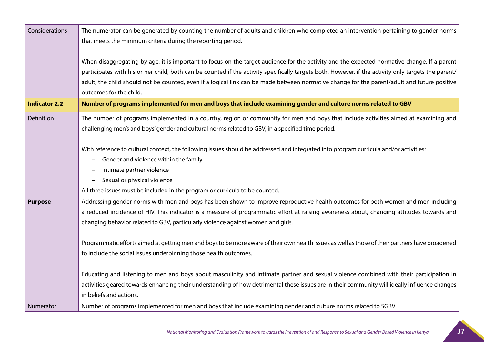| Considerations       | The numerator can be generated by counting the number of adults and children who completed an intervention pertaining to gender norms                |
|----------------------|------------------------------------------------------------------------------------------------------------------------------------------------------|
|                      | that meets the minimum criteria during the reporting period.                                                                                         |
|                      | When disaggregating by age, it is important to focus on the target audience for the activity and the expected normative change. If a parent          |
|                      | participates with his or her child, both can be counted if the activity specifically targets both. However, if the activity only targets the parent/ |
|                      | adult, the child should not be counted, even if a logical link can be made between normative change for the parent/adult and future positive         |
|                      | outcomes for the child.                                                                                                                              |
| <b>Indicator 2.2</b> | Number of programs implemented for men and boys that include examining gender and culture norms related to GBV                                       |
| Definition           | The number of programs implemented in a country, region or community for men and boys that include activities aimed at examining and                 |
|                      | challenging men's and boys' gender and cultural norms related to GBV, in a specified time period.                                                    |
|                      |                                                                                                                                                      |
|                      | With reference to cultural context, the following issues should be addressed and integrated into program curricula and/or activities:                |
|                      | Gender and violence within the family                                                                                                                |
|                      | Intimate partner violence                                                                                                                            |
|                      | Sexual or physical violence                                                                                                                          |
|                      | All three issues must be included in the program or curricula to be counted.                                                                         |
| <b>Purpose</b>       | Addressing gender norms with men and boys has been shown to improve reproductive health outcomes for both women and men including                    |
|                      | a reduced incidence of HIV. This indicator is a measure of programmatic effort at raising awareness about, changing attitudes towards and            |
|                      | changing behavior related to GBV, particularly violence against women and girls.                                                                     |
|                      | Programmatic efforts aimed at getting men and boys to be more aware of their own health issues as well as those of their partners have broadened     |
|                      | to include the social issues underpinning those health outcomes.                                                                                     |
|                      |                                                                                                                                                      |
|                      | Educating and listening to men and boys about masculinity and intimate partner and sexual violence combined with their participation in              |
|                      | activities geared towards enhancing their understanding of how detrimental these issues are in their community will ideally influence changes        |
|                      | in beliefs and actions.                                                                                                                              |
| Numerator            | Number of programs implemented for men and boys that include examining gender and culture norms related to SGBV                                      |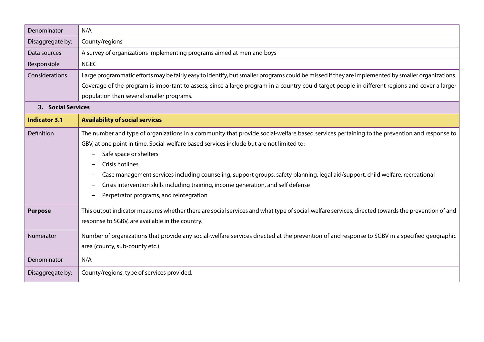| Denominator          | N/A                                                                                                                                               |
|----------------------|---------------------------------------------------------------------------------------------------------------------------------------------------|
| Disaggregate by:     | County/regions                                                                                                                                    |
| Data sources         | A survey of organizations implementing programs aimed at men and boys                                                                             |
| Responsible          | <b>NGEC</b>                                                                                                                                       |
| Considerations       | Large programmatic efforts may be fairly easy to identify, but smaller programs could be missed if they are implemented by smaller organizations. |
|                      | Coverage of the program is important to assess, since a large program in a country could target people in different regions and cover a larger    |
|                      | population than several smaller programs.                                                                                                         |
| 3. Social Services   |                                                                                                                                                   |
| <b>Indicator 3.1</b> | <b>Availability of social services</b>                                                                                                            |
| Definition           | The number and type of organizations in a community that provide social-welfare based services pertaining to the prevention and response to       |
|                      | GBV, at one point in time. Social-welfare based services include but are not limited to:                                                          |
|                      | Safe space or shelters<br>$\overline{\phantom{m}}$                                                                                                |
|                      | Crisis hotlines                                                                                                                                   |
|                      | Case management services including counseling, support groups, safety planning, legal aid/support, child welfare, recreational                    |
|                      | Crisis intervention skills including training, income generation, and self defense                                                                |
|                      | Perpetrator programs, and reintegration                                                                                                           |
| <b>Purpose</b>       | This output indicator measures whether there are social services and what type of social-welfare services, directed towards the prevention of and |
|                      | response to SGBV, are available in the country.                                                                                                   |
| Numerator            | Number of organizations that provide any social-welfare services directed at the prevention of and response to SGBV in a specified geographic     |
|                      | area (county, sub-county etc.)                                                                                                                    |
| Denominator          | N/A                                                                                                                                               |
| Disaggregate by:     | County/regions, type of services provided.                                                                                                        |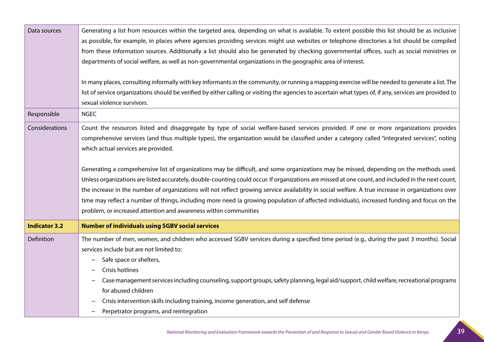| Data sources         | Generating a list from resources within the targeted area, depending on what is available. To extent possible this list should be as inclusive<br>as possible, for example, in places where agencies providing services might use websites or telephone directories a list should be compiled<br>from these information sources. Additionally a list should also be generated by checking governmental offices, such as social ministries or<br>departments of social welfare, as well as non-governmental organizations in the geographic area of interest.<br>In many places, consulting informally with key informants in the community, or running a mapping exercise will be needed to generate a list. The |
|----------------------|------------------------------------------------------------------------------------------------------------------------------------------------------------------------------------------------------------------------------------------------------------------------------------------------------------------------------------------------------------------------------------------------------------------------------------------------------------------------------------------------------------------------------------------------------------------------------------------------------------------------------------------------------------------------------------------------------------------|
|                      | list of service organizations should be verified by either calling or visiting the agencies to ascertain what types of, if any, services are provided to                                                                                                                                                                                                                                                                                                                                                                                                                                                                                                                                                         |
|                      | sexual violence survivors.                                                                                                                                                                                                                                                                                                                                                                                                                                                                                                                                                                                                                                                                                       |
| Responsible          | <b>NGEC</b>                                                                                                                                                                                                                                                                                                                                                                                                                                                                                                                                                                                                                                                                                                      |
| Considerations       | Count the resources listed and disaggregate by type of social welfare-based services provided. If one or more organizations provides<br>comprehensive services (and thus multiple types), the organization would be classified under a category called "integrated services", noting<br>which actual services are provided.<br>Generating a comprehensive list of organizations may be difficult, and some organizations may be missed, depending on the methods used.                                                                                                                                                                                                                                           |
|                      | Unless organizations are listed accurately, double-counting could occur. If organizations are missed at one count, and included in the next count,<br>the increase in the number of organizations will not reflect growing service availability in social welfare. A true increase in organizations over<br>time may reflect a number of things, including more need (a growing population of affected individuals), increased funding and focus on the<br>problem, or increased attention and awareness within communities                                                                                                                                                                                      |
| <b>Indicator 3.2</b> | <b>Number of individuals using SGBV social services</b>                                                                                                                                                                                                                                                                                                                                                                                                                                                                                                                                                                                                                                                          |
| Definition           | The number of men, women, and children who accessed SGBV services during a specified time period (e.g., during the past 3 months). Social<br>services include but are not limited to:<br>Safe space or shelters,<br>Crisis hotlines<br>Case management services including counseling, support groups, safety planning, legal aid/support, child welfare, recreational programs<br>for abused children                                                                                                                                                                                                                                                                                                            |
|                      | Crisis intervention skills including training, income generation, and self defense<br>Perpetrator programs, and reintegration                                                                                                                                                                                                                                                                                                                                                                                                                                                                                                                                                                                    |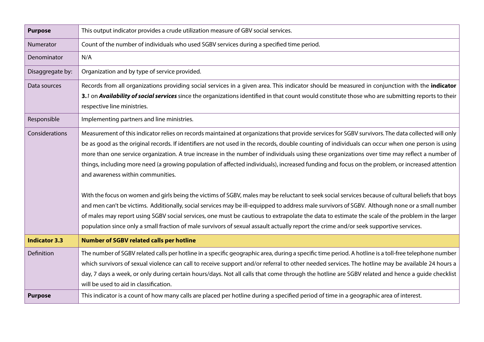| <b>Purpose</b>       | This output indicator provides a crude utilization measure of GBV social services.                                                                   |
|----------------------|------------------------------------------------------------------------------------------------------------------------------------------------------|
| Numerator            | Count of the number of individuals who used SGBV services during a specified time period.                                                            |
| Denominator          | N/A                                                                                                                                                  |
| Disaggregate by:     | Organization and by type of service provided.                                                                                                        |
| Data sources         | Records from all organizations providing social services in a given area. This indicator should be measured in conjunction with the indicator        |
|                      | 3.1 on Availability of social services since the organizations identified in that count would constitute those who are submitting reports to their   |
|                      | respective line ministries.                                                                                                                          |
| Responsible          | Implementing partners and line ministries.                                                                                                           |
| Considerations       | Measurement of this indicator relies on records maintained at organizations that provide services for SGBV survivors. The data collected will only   |
|                      | be as good as the original records. If identifiers are not used in the records, double counting of individuals can occur when one person is using    |
|                      | more than one service organization. A true increase in the number of individuals using these organizations over time may reflect a number of         |
|                      | things, including more need (a growing population of affected individuals), increased funding and focus on the problem, or increased attention       |
|                      | and awareness within communities.                                                                                                                    |
|                      |                                                                                                                                                      |
|                      | With the focus on women and girls being the victims of SGBV, males may be reluctant to seek social services because of cultural beliefs that boys    |
|                      | and men can't be victims. Additionally, social services may be ill-equipped to address male survivors of SGBV. Although none or a small number       |
|                      | of males may report using SGBV social services, one must be cautious to extrapolate the data to estimate the scale of the problem in the larger      |
|                      | population since only a small fraction of male survivors of sexual assault actually report the crime and/or seek supportive services.                |
| <b>Indicator 3.3</b> | <b>Number of SGBV related calls per hotline</b>                                                                                                      |
| Definition           | The number of SGBV related calls per hotline in a specific geographic area, during a specific time period. A hotline is a toll-free telephone number |
|                      | which survivors of sexual violence can call to receive support and/or referral to other needed services. The hotline may be available 24 hours a     |
|                      | day, 7 days a week, or only during certain hours/days. Not all calls that come through the hotline are SGBV related and hence a guide checklist      |
|                      | will be used to aid in classification.                                                                                                               |
| <b>Purpose</b>       | This indicator is a count of how many calls are placed per hotline during a specified period of time in a geographic area of interest.               |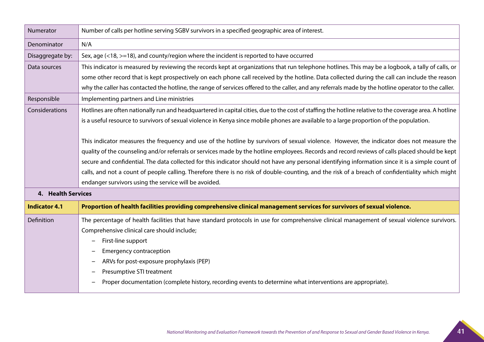| Numerator            | Number of calls per hotline serving SGBV survivors in a specified geographic area of interest.                                                          |
|----------------------|---------------------------------------------------------------------------------------------------------------------------------------------------------|
| Denominator          | N/A                                                                                                                                                     |
| Disaggregate by:     | Sex, age (<18, >=18), and county/region where the incident is reported to have occurred                                                                 |
| Data sources         | This indicator is measured by reviewing the records kept at organizations that run telephone hotlines. This may be a logbook, a tally of calls, or      |
|                      | some other record that is kept prospectively on each phone call received by the hotline. Data collected during the call can include the reason          |
|                      | why the caller has contacted the hotline, the range of services offered to the caller, and any referrals made by the hotline operator to the caller.    |
| Responsible          | Implementing partners and Line ministries                                                                                                               |
| Considerations       | Hotlines are often nationally run and headquartered in capital cities, due to the cost of staffing the hotline relative to the coverage area. A hotline |
|                      | is a useful resource to survivors of sexual violence in Kenya since mobile phones are available to a large proportion of the population.                |
|                      |                                                                                                                                                         |
|                      | This indicator measures the frequency and use of the hotline by survivors of sexual violence. However, the indicator does not measure the               |
|                      | quality of the counseling and/or referrals or services made by the hotline employees. Records and record reviews of calls placed should be kept         |
|                      | secure and confidential. The data collected for this indicator should not have any personal identifying information since it is a simple count of       |
|                      | calls, and not a count of people calling. Therefore there is no risk of double-counting, and the risk of a breach of confidentiality which might        |
|                      | endanger survivors using the service will be avoided.                                                                                                   |
| 4. Health Services   |                                                                                                                                                         |
| <b>Indicator 4.1</b> | Proportion of health facilities providing comprehensive clinical management services for survivors of sexual violence.                                  |
| Definition           | The percentage of health facilities that have standard protocols in use for comprehensive clinical management of sexual violence survivors.             |
|                      | Comprehensive clinical care should include;                                                                                                             |
|                      | First-line support                                                                                                                                      |
|                      | <b>Emergency contraception</b>                                                                                                                          |
|                      | ARVs for post-exposure prophylaxis (PEP)                                                                                                                |
|                      | Presumptive STI treatment                                                                                                                               |
|                      | Proper documentation (complete history, recording events to determine what interventions are appropriate).                                              |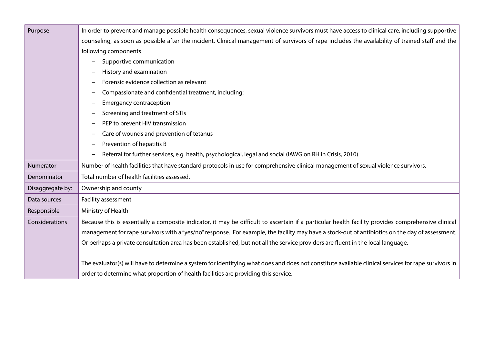| Purpose          | In order to prevent and manage possible health consequences, sexual violence survivors must have access to clinical care, including supportive       |
|------------------|------------------------------------------------------------------------------------------------------------------------------------------------------|
|                  | counseling, as soon as possible after the incident. Clinical management of survivors of rape includes the availability of trained staff and the      |
|                  | following components                                                                                                                                 |
|                  | Supportive communication<br>$\overline{\phantom{m}}$                                                                                                 |
|                  | History and examination<br>—                                                                                                                         |
|                  | Forensic evidence collection as relevant<br>$\qquad \qquad$                                                                                          |
|                  | Compassionate and confidential treatment, including:<br>$\overline{\phantom{0}}$                                                                     |
|                  | <b>Emergency contraception</b>                                                                                                                       |
|                  | Screening and treatment of STIs<br>$\overline{\phantom{m}}$                                                                                          |
|                  | PEP to prevent HIV transmission<br>$\qquad \qquad$                                                                                                   |
|                  | Care of wounds and prevention of tetanus<br>$\qquad \qquad \blacksquare$                                                                             |
|                  | Prevention of hepatitis B                                                                                                                            |
|                  | Referral for further services, e.g. health, psychological, legal and social (IAWG on RH in Crisis, 2010).<br>$\overline{\phantom{0}}$                |
| Numerator        | Number of health facilities that have standard protocols in use for comprehensive clinical management of sexual violence survivors.                  |
| Denominator      | Total number of health facilities assessed.                                                                                                          |
| Disaggregate by: | Ownership and county                                                                                                                                 |
| Data sources     | Facility assessment                                                                                                                                  |
| Responsible      | Ministry of Health                                                                                                                                   |
| Considerations   | Because this is essentially a composite indicator, it may be difficult to ascertain if a particular health facility provides comprehensive clinical  |
|                  | management for rape survivors with a "yes/no" response. For example, the facility may have a stock-out of antibiotics on the day of assessment.      |
|                  | Or perhaps a private consultation area has been established, but not all the service providers are fluent in the local language.                     |
|                  |                                                                                                                                                      |
|                  | The evaluator(s) will have to determine a system for identifying what does and does not constitute available clinical services for rape survivors in |
|                  | order to determine what proportion of health facilities are providing this service.                                                                  |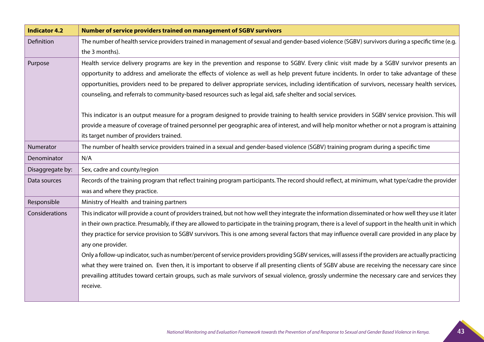| <b>Indicator 4.2</b> | Number of service providers trained on management of SGBV survivors                                                                                    |
|----------------------|--------------------------------------------------------------------------------------------------------------------------------------------------------|
| Definition           | The number of health service providers trained in management of sexual and gender-based violence (SGBV) survivors during a specific time (e.g.         |
|                      | the 3 months).                                                                                                                                         |
| Purpose              | Health service delivery programs are key in the prevention and response to SGBV. Every clinic visit made by a SGBV survivor presents an                |
|                      | opportunity to address and ameliorate the effects of violence as well as help prevent future incidents. In order to take advantage of these            |
|                      | opportunities, providers need to be prepared to deliver appropriate services, including identification of survivors, necessary health services,        |
|                      | counseling, and referrals to community-based resources such as legal aid, safe shelter and social services.                                            |
|                      |                                                                                                                                                        |
|                      | This indicator is an output measure for a program designed to provide training to health service providers in SGBV service provision. This will        |
|                      | provide a measure of coverage of trained personnel per geographic area of interest, and will help monitor whether or not a program is attaining        |
|                      | its target number of providers trained.                                                                                                                |
| Numerator            | The number of health service providers trained in a sexual and gender-based violence (SGBV) training program during a specific time                    |
| Denominator          | N/A                                                                                                                                                    |
| Disaggregate by:     | Sex, cadre and county/region                                                                                                                           |
| Data sources         | Records of the training program that reflect training program participants. The record should reflect, at minimum, what type/cadre the provider        |
|                      | was and where they practice.                                                                                                                           |
| Responsible          | Ministry of Health and training partners                                                                                                               |
| Considerations       | This indicator will provide a count of providers trained, but not how well they integrate the information disseminated or how well they use it later   |
|                      | in their own practice. Presumably, if they are allowed to participate in the training program, there is a level of support in the health unit in which |
|                      | they practice for service provision to SGBV survivors. This is one among several factors that may influence overall care provided in any place by      |
|                      | any one provider.                                                                                                                                      |
|                      | Only a follow-up indicator, such as number/percent of service providers providing SGBV services, will assess if the providers are actually practicing  |
|                      | what they were trained on. Even then, it is important to observe if all presenting clients of SGBV abuse are receiving the necessary care since        |
|                      | prevailing attitudes toward certain groups, such as male survivors of sexual violence, grossly undermine the necessary care and services they          |
|                      | receive.                                                                                                                                               |
|                      |                                                                                                                                                        |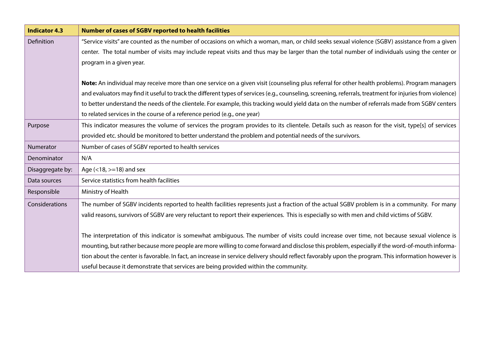| <b>Indicator 4.3</b> | <b>Number of cases of SGBV reported to health facilities</b>                                                                                              |
|----------------------|-----------------------------------------------------------------------------------------------------------------------------------------------------------|
| Definition           | "Service visits" are counted as the number of occasions on which a woman, man, or child seeks sexual violence (SGBV) assistance from a given              |
|                      | center. The total number of visits may include repeat visits and thus may be larger than the total number of individuals using the center or              |
|                      | program in a given year.                                                                                                                                  |
|                      |                                                                                                                                                           |
|                      | Note: An individual may receive more than one service on a given visit (counseling plus referral for other health problems). Program managers             |
|                      | and evaluators may find it useful to track the different types of services (e.g., counseling, screening, referrals, treatment for injuries from violence) |
|                      | to better understand the needs of the clientele. For example, this tracking would yield data on the number of referrals made from SGBV centers            |
|                      | to related services in the course of a reference period (e.g., one year)                                                                                  |
| Purpose              | This indicator measures the volume of services the program provides to its clientele. Details such as reason for the visit, type[s] of services           |
|                      | provided etc. should be monitored to better understand the problem and potential needs of the survivors.                                                  |
| Numerator            | Number of cases of SGBV reported to health services                                                                                                       |
| Denominator          | N/A                                                                                                                                                       |
| Disaggregate by:     | Age $(<18,>=18$ ) and sex                                                                                                                                 |
| Data sources         | Service statistics from health facilities                                                                                                                 |
| Responsible          | Ministry of Health                                                                                                                                        |
| Considerations       | The number of SGBV incidents reported to health facilities represents just a fraction of the actual SGBV problem is in a community. For many              |
|                      | valid reasons, survivors of SGBV are very reluctant to report their experiences. This is especially so with men and child victims of SGBV.                |
|                      |                                                                                                                                                           |
|                      | The interpretation of this indicator is somewhat ambiguous. The number of visits could increase over time, not because sexual violence is                 |
|                      | mounting, but rather because more people are more willing to come forward and disclose this problem, especially if the word-of-mouth informa-             |
|                      | tion about the center is favorable. In fact, an increase in service delivery should reflect favorably upon the program. This information however is       |
|                      | useful because it demonstrate that services are being provided within the community.                                                                      |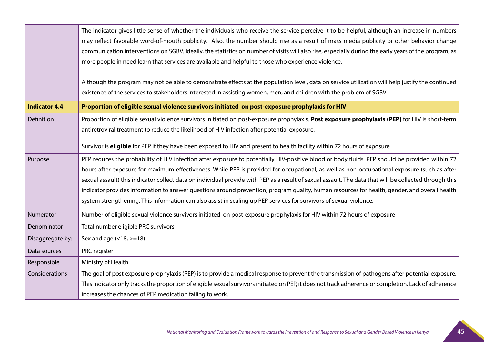|                      | The indicator gives little sense of whether the individuals who receive the service perceive it to be helpful, although an increase in numbers<br>may reflect favorable word-of-mouth publicity. Also, the number should rise as a result of mass media publicity or other behavior change<br>communication interventions on SGBV. Ideally, the statistics on number of visits will also rise, especially during the early years of the program, as<br>more people in need learn that services are available and helpful to those who experience violence.<br>Although the program may not be able to demonstrate effects at the population level, data on service utilization will help justify the continued<br>existence of the services to stakeholders interested in assisting women, men, and children with the problem of SGBV. |
|----------------------|----------------------------------------------------------------------------------------------------------------------------------------------------------------------------------------------------------------------------------------------------------------------------------------------------------------------------------------------------------------------------------------------------------------------------------------------------------------------------------------------------------------------------------------------------------------------------------------------------------------------------------------------------------------------------------------------------------------------------------------------------------------------------------------------------------------------------------------|
| <b>Indicator 4.4</b> | Proportion of eligible sexual violence survivors initiated on post-exposure prophylaxis for HIV                                                                                                                                                                                                                                                                                                                                                                                                                                                                                                                                                                                                                                                                                                                                        |
| Definition           | Proportion of eligible sexual violence survivors initiated on post-exposure prophylaxis. Post exposure prophylaxis (PEP) for HIV is short-term<br>antiretroviral treatment to reduce the likelihood of HIV infection after potential exposure.<br>Survivor is <b>eligible</b> for PEP if they have been exposed to HIV and present to health facility within 72 hours of exposure                                                                                                                                                                                                                                                                                                                                                                                                                                                      |
| Purpose              | PEP reduces the probability of HIV infection after exposure to potentially HIV-positive blood or body fluids. PEP should be provided within 72<br>hours after exposure for maximum effectiveness. While PEP is provided for occupational, as well as non-occupational exposure (such as after<br>sexual assault) this indicator collect data on individual provide with PEP as a result of sexual assault. The data that will be collected through this<br>indicator provides information to answer questions around prevention, program quality, human resources for health, gender, and overall health<br>system strengthening. This information can also assist in scaling up PEP services for survivors of sexual violence.                                                                                                        |
| Numerator            | Number of eligible sexual violence survivors initiated on post-exposure prophylaxis for HIV within 72 hours of exposure                                                                                                                                                                                                                                                                                                                                                                                                                                                                                                                                                                                                                                                                                                                |
| Denominator          | Total number eligible PRC survivors                                                                                                                                                                                                                                                                                                                                                                                                                                                                                                                                                                                                                                                                                                                                                                                                    |
| Disaggregate by:     | Sex and age $(<18,>=18)$                                                                                                                                                                                                                                                                                                                                                                                                                                                                                                                                                                                                                                                                                                                                                                                                               |
| Data sources         | PRC register                                                                                                                                                                                                                                                                                                                                                                                                                                                                                                                                                                                                                                                                                                                                                                                                                           |
| Responsible          | Ministry of Health                                                                                                                                                                                                                                                                                                                                                                                                                                                                                                                                                                                                                                                                                                                                                                                                                     |
| Considerations       | The goal of post exposure prophylaxis (PEP) is to provide a medical response to prevent the transmission of pathogens after potential exposure.                                                                                                                                                                                                                                                                                                                                                                                                                                                                                                                                                                                                                                                                                        |
|                      | This indicator only tracks the proportion of eligible sexual survivors initiated on PEP, it does not track adherence or completion. Lack of adherence                                                                                                                                                                                                                                                                                                                                                                                                                                                                                                                                                                                                                                                                                  |
|                      | increases the chances of PEP medication failing to work.                                                                                                                                                                                                                                                                                                                                                                                                                                                                                                                                                                                                                                                                                                                                                                               |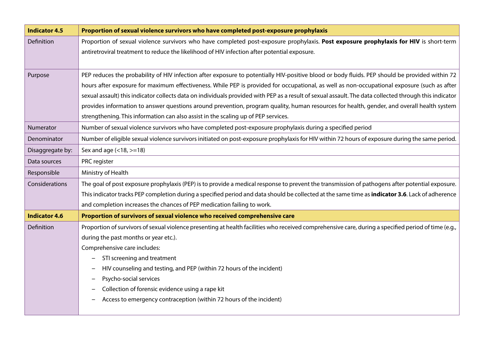| <b>Indicator 4.5</b> | Proportion of sexual violence survivors who have completed post-exposure prophylaxis                                                                     |
|----------------------|----------------------------------------------------------------------------------------------------------------------------------------------------------|
| Definition           | Proportion of sexual violence survivors who have completed post-exposure prophylaxis. Post exposure prophylaxis for HIV is short-term                    |
|                      | antiretroviral treatment to reduce the likelihood of HIV infection after potential exposure.                                                             |
|                      |                                                                                                                                                          |
| Purpose              | PEP reduces the probability of HIV infection after exposure to potentially HIV-positive blood or body fluids. PEP should be provided within 72           |
|                      | hours after exposure for maximum effectiveness. While PEP is provided for occupational, as well as non-occupational exposure (such as after              |
|                      | sexual assault) this indicator collects data on individuals provided with PEP as a result of sexual assault. The data collected through this indicator   |
|                      | provides information to answer questions around prevention, program quality, human resources for health, gender, and overall health system               |
|                      | strengthening. This information can also assist in the scaling up of PEP services.                                                                       |
| Numerator            | Number of sexual violence survivors who have completed post-exposure prophylaxis during a specified period                                               |
| Denominator          | Number of eligible sexual violence survivors initiated on post-exposure prophylaxis for HIV within 72 hours of exposure during the same period.          |
| Disaggregate by:     | Sex and age $(<18,>=18)$                                                                                                                                 |
| Data sources         | PRC register                                                                                                                                             |
| Responsible          | Ministry of Health                                                                                                                                       |
| Considerations       | The goal of post exposure prophylaxis (PEP) is to provide a medical response to prevent the transmission of pathogens after potential exposure.          |
|                      | This indicator tracks PEP completion during a specified period and data should be collected at the same time as <b>indicator 3.6</b> . Lack of adherence |
|                      | and completion increases the chances of PEP medication failing to work.                                                                                  |
| <b>Indicator 4.6</b> | Proportion of survivors of sexual violence who received comprehensive care                                                                               |
| Definition           | Proportion of survivors of sexual violence presenting at health facilities who received comprehensive care, during a specified period of time (e.g.,     |
|                      | during the past months or year etc.).                                                                                                                    |
|                      | Comprehensive care includes:                                                                                                                             |
|                      | STI screening and treatment                                                                                                                              |
|                      | HIV counseling and testing, and PEP (within 72 hours of the incident)                                                                                    |
|                      | Psycho-social services                                                                                                                                   |
|                      | Collection of forensic evidence using a rape kit                                                                                                         |
|                      | Access to emergency contraception (within 72 hours of the incident)                                                                                      |
|                      |                                                                                                                                                          |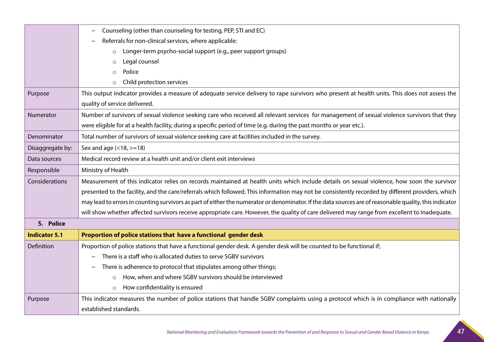|                      | Counseling (other than counseling for testing, PEP, STI and EC)                                                                                        |
|----------------------|--------------------------------------------------------------------------------------------------------------------------------------------------------|
|                      | Referrals for non-clinical services, where applicable:                                                                                                 |
|                      | Longer-term psycho-social support (e.g., peer support groups)<br>$\circ$                                                                               |
|                      | Legal counsel<br>$\circ$                                                                                                                               |
|                      | Police<br>$\circ$                                                                                                                                      |
|                      | Child protection services                                                                                                                              |
| Purpose              | This output indicator provides a measure of adequate service delivery to rape survivors who present at health units. This does not assess the          |
|                      | quality of service delivered.                                                                                                                          |
| Numerator            | Number of survivors of sexual violence seeking care who received all relevant services for management of sexual violence survivors that they           |
|                      | were eligible for at a health facility, during a specific period of time (e.g. during the past months or year etc.).                                   |
| Denominator          | Total number of survivors of sexual violence seeking care at facilities included in the survey.                                                        |
| Disaggregate by:     | Sex and age (<18, >=18)                                                                                                                                |
| Data sources         | Medical record review at a health unit and/or client exit interviews                                                                                   |
| Responsible          | Ministry of Health                                                                                                                                     |
| Considerations       | Measurement of this indicator relies on records maintained at health units which include details on sexual violence, how soon the survivor             |
|                      | presented to the facility, and the care/referrals which followed. This information may not be consistently recorded by different providers, which      |
|                      | may lead to errors in counting survivors as part of either the numerator or denominator. If the data sources are of reasonable quality, this indicator |
|                      | will show whether affected survivors receive appropriate care. However, the quality of care delivered may range from excellent to inadequate.          |
| 5. Police            |                                                                                                                                                        |
| <b>Indicator 5.1</b> | Proportion of police stations that have a functional gender desk                                                                                       |
| Definition           | Proportion of police stations that have a functional gender desk. A gender desk will be counted to be functional if;                                   |
|                      | There is a staff who is allocated duties to serve SGBV survivors                                                                                       |
|                      | There is adherence to protocol that stipulates among other things;                                                                                     |
|                      | How, when and where SGBV survivors should be interviewed<br>$\circ$                                                                                    |
|                      | How confidentiality is ensured<br>$\circ$                                                                                                              |
| Purpose              | This indicator measures the number of police stations that handle SGBV complaints using a protocol which is in compliance with nationally              |
|                      | established standards.                                                                                                                                 |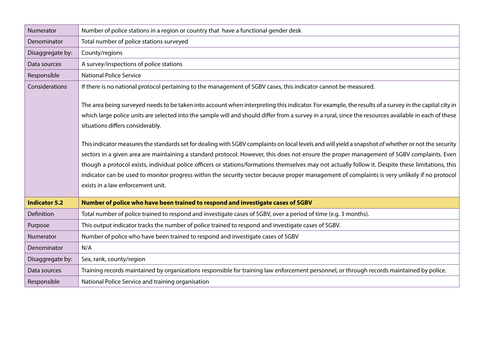| Numerator            | Number of police stations in a region or country that have a functional gender desk                                                                                                                                                                                                                                                                                                                                                                                                                                                                                                                                                                                                                                                                                                                                                                                                                                                                                                              |
|----------------------|--------------------------------------------------------------------------------------------------------------------------------------------------------------------------------------------------------------------------------------------------------------------------------------------------------------------------------------------------------------------------------------------------------------------------------------------------------------------------------------------------------------------------------------------------------------------------------------------------------------------------------------------------------------------------------------------------------------------------------------------------------------------------------------------------------------------------------------------------------------------------------------------------------------------------------------------------------------------------------------------------|
| Denominator          | Total number of police stations surveyed                                                                                                                                                                                                                                                                                                                                                                                                                                                                                                                                                                                                                                                                                                                                                                                                                                                                                                                                                         |
| Disaggregate by:     | County/regions                                                                                                                                                                                                                                                                                                                                                                                                                                                                                                                                                                                                                                                                                                                                                                                                                                                                                                                                                                                   |
| Data sources         | A survey/inspections of police stations                                                                                                                                                                                                                                                                                                                                                                                                                                                                                                                                                                                                                                                                                                                                                                                                                                                                                                                                                          |
| Responsible          | <b>National Police Service</b>                                                                                                                                                                                                                                                                                                                                                                                                                                                                                                                                                                                                                                                                                                                                                                                                                                                                                                                                                                   |
| Considerations       | If there is no national protocol pertaining to the management of SGBV cases, this indicator cannot be measured.                                                                                                                                                                                                                                                                                                                                                                                                                                                                                                                                                                                                                                                                                                                                                                                                                                                                                  |
|                      | The area being surveyed needs to be taken into account when interpreting this indicator. For example, the results of a survey in the capital city in<br>which large police units are selected into the sample will and should differ from a survey in a rural, since the resources available in each of these<br>situations differs considerably.<br>This indicator measures the standards set for dealing with SGBV complaints on local levels and will yield a snapshot of whether or not the security<br>sectors in a given area are maintaining a standard protocol. However, this does not ensure the proper management of SGBV complaints. Even<br>though a protocol exists, individual police officers or stations/formations themselves may not actually follow it. Despite these limitations, this<br>indicator can be used to monitor progress within the security sector because proper management of complaints is very unlikely if no protocol<br>exists in a law enforcement unit. |
| <b>Indicator 5.2</b> | Number of police who have been trained to respond and investigate cases of SGBV                                                                                                                                                                                                                                                                                                                                                                                                                                                                                                                                                                                                                                                                                                                                                                                                                                                                                                                  |
| Definition           | Total number of police trained to respond and investigate cases of SGBV, over a period of time (e.g. 3 months).                                                                                                                                                                                                                                                                                                                                                                                                                                                                                                                                                                                                                                                                                                                                                                                                                                                                                  |
| Purpose              | This output indicator tracks the number of police trained to respond and investigate cases of SGBV.                                                                                                                                                                                                                                                                                                                                                                                                                                                                                                                                                                                                                                                                                                                                                                                                                                                                                              |
| Numerator            | Number of police who have been trained to respond and investigate cases of SGBV                                                                                                                                                                                                                                                                                                                                                                                                                                                                                                                                                                                                                                                                                                                                                                                                                                                                                                                  |
| Denominator          | N/A                                                                                                                                                                                                                                                                                                                                                                                                                                                                                                                                                                                                                                                                                                                                                                                                                                                                                                                                                                                              |
| Disaggregate by:     | Sex, rank, county/region                                                                                                                                                                                                                                                                                                                                                                                                                                                                                                                                                                                                                                                                                                                                                                                                                                                                                                                                                                         |
| Data sources         | Training records maintained by organizations responsible for training law enforcement personnel, or through records maintained by police.                                                                                                                                                                                                                                                                                                                                                                                                                                                                                                                                                                                                                                                                                                                                                                                                                                                        |
| Responsible          | National Police Service and training organisation                                                                                                                                                                                                                                                                                                                                                                                                                                                                                                                                                                                                                                                                                                                                                                                                                                                                                                                                                |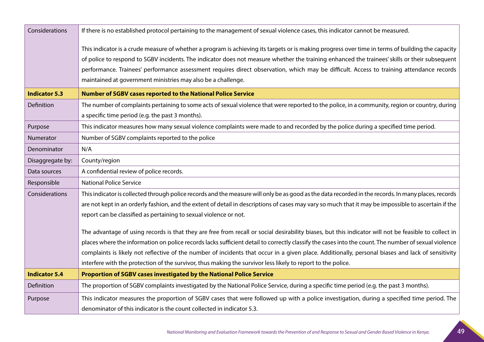| Considerations       | If there is no established protocol pertaining to the management of sexual violence cases, this indicator cannot be measured.                         |
|----------------------|-------------------------------------------------------------------------------------------------------------------------------------------------------|
|                      | This indicator is a crude measure of whether a program is achieving its targets or is making progress over time in terms of building the capacity     |
|                      | of police to respond to SGBV incidents. The indicator does not measure whether the training enhanced the trainees' skills or their subsequent         |
|                      | performance. Trainees' performance assessment requires direct observation, which may be difficult. Access to training attendance records              |
|                      | maintained at government ministries may also be a challenge.                                                                                          |
| <b>Indicator 5.3</b> | <b>Number of SGBV cases reported to the National Police Service</b>                                                                                   |
| Definition           | The number of complaints pertaining to some acts of sexual violence that were reported to the police, in a community, region or country, during       |
|                      | a specific time period (e.g. the past 3 months).                                                                                                      |
| Purpose              | This indicator measures how many sexual violence complaints were made to and recorded by the police during a specified time period.                   |
| Numerator            | Number of SGBV complaints reported to the police                                                                                                      |
| Denominator          | N/A                                                                                                                                                   |
| Disaggregate by:     | County/region                                                                                                                                         |
| Data sources         | A confidential review of police records.                                                                                                              |
| Responsible          | <b>National Police Service</b>                                                                                                                        |
| Considerations       | This indicator is collected through police records and the measure will only be as good as the data recorded in the records. In many places, records  |
|                      | are not kept in an orderly fashion, and the extent of detail in descriptions of cases may vary so much that it may be impossible to ascertain if the  |
|                      | report can be classified as pertaining to sexual violence or not.                                                                                     |
|                      | The advantage of using records is that they are free from recall or social desirability biases, but this indicator will not be feasible to collect in |
|                      | places where the information on police records lacks sufficient detail to correctly classify the cases into the count. The number of sexual violence  |
|                      | complaints is likely not reflective of the number of incidents that occur in a given place. Additionally, personal biases and lack of sensitivity     |
|                      | interfere with the protection of the survivor, thus making the survivor less likely to report to the police.                                          |
| <b>Indicator 5.4</b> | Proportion of SGBV cases investigated by the National Police Service                                                                                  |
| Definition           | The proportion of SGBV complaints investigated by the National Police Service, during a specific time period (e.g. the past 3 months).                |
| Purpose              | This indicator measures the proportion of SGBV cases that were followed up with a police investigation, during a specified time period. The           |
|                      | denominator of this indicator is the count collected in indicator 5.3.                                                                                |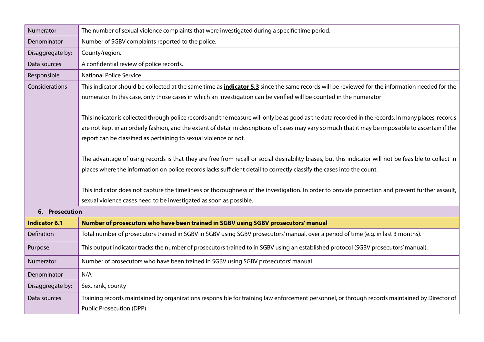| Numerator            | The number of sexual violence complaints that were investigated during a specific time period.                                                         |
|----------------------|--------------------------------------------------------------------------------------------------------------------------------------------------------|
| Denominator          | Number of SGBV complaints reported to the police.                                                                                                      |
| Disaggregate by:     | County/region.                                                                                                                                         |
| Data sources         | A confidential review of police records.                                                                                                               |
| Responsible          | <b>National Police Service</b>                                                                                                                         |
| Considerations       | This indicator should be collected at the same time as <b>indicator 5.3</b> since the same records will be reviewed for the information needed for the |
|                      | numerator. In this case, only those cases in which an investigation can be verified will be counted in the numerator                                   |
|                      |                                                                                                                                                        |
|                      | This indicator is collected through police records and the measure will only be as good as the data recorded in the records. In many places, records   |
|                      | are not kept in an orderly fashion, and the extent of detail in descriptions of cases may vary so much that it may be impossible to ascertain if the   |
|                      | report can be classified as pertaining to sexual violence or not.                                                                                      |
|                      |                                                                                                                                                        |
|                      | The advantage of using records is that they are free from recall or social desirability biases, but this indicator will not be feasible to collect in  |
|                      | places where the information on police records lacks sufficient detail to correctly classify the cases into the count.                                 |
|                      |                                                                                                                                                        |
|                      | This indicator does not capture the timeliness or thoroughness of the investigation. In order to provide protection and prevent further assault,       |
|                      | sexual violence cases need to be investigated as soon as possible.                                                                                     |
| 6. Prosecution       |                                                                                                                                                        |
| <b>Indicator 6.1</b> | Number of prosecutors who have been trained in SGBV using SGBV prosecutors' manual                                                                     |
| Definition           | Total number of prosecutors trained in SGBV in SGBV using SGBV prosecutors' manual, over a period of time (e.g. in last 3 months).                     |
| Purpose              | This output indicator tracks the number of prosecutors trained to in SGBV using an established protocol (SGBV prosecutors' manual).                    |
| Numerator            | Number of prosecutors who have been trained in SGBV using SGBV prosecutors' manual                                                                     |
| Denominator          | N/A                                                                                                                                                    |
| Disaggregate by:     | Sex, rank, county                                                                                                                                      |
| Data sources         | Training records maintained by organizations responsible for training law enforcement personnel, or through records maintained by Director of          |
|                      | Public Prosecution (DPP).                                                                                                                              |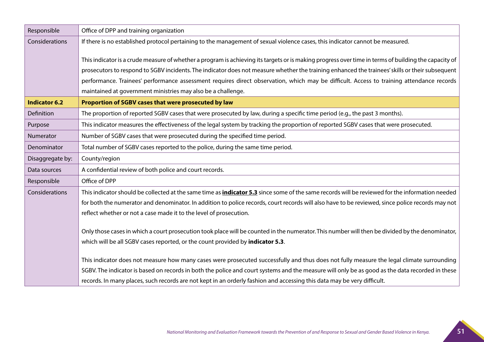| Responsible          | Office of DPP and training organization                                                                                                                |
|----------------------|--------------------------------------------------------------------------------------------------------------------------------------------------------|
| Considerations       | If there is no established protocol pertaining to the management of sexual violence cases, this indicator cannot be measured.                          |
|                      |                                                                                                                                                        |
|                      | This indicator is a crude measure of whether a program is achieving its targets or is making progress over time in terms of building the capacity of   |
|                      | prosecutors to respond to SGBV incidents. The indicator does not measure whether the training enhanced the trainees' skills or their subsequent        |
|                      | performance. Trainees' performance assessment requires direct observation, which may be difficult. Access to training attendance records               |
|                      | maintained at government ministries may also be a challenge.                                                                                           |
| <b>Indicator 6.2</b> | Proportion of SGBV cases that were prosecuted by law                                                                                                   |
| Definition           | The proportion of reported SGBV cases that were prosecuted by law, during a specific time period (e.g., the past 3 months).                            |
| Purpose              | This indicator measures the effectiveness of the legal system by tracking the proportion of reported SGBV cases that were prosecuted.                  |
| Numerator            | Number of SGBV cases that were prosecuted during the specified time period.                                                                            |
| Denominator          | Total number of SGBV cases reported to the police, during the same time period.                                                                        |
| Disaggregate by:     | County/region                                                                                                                                          |
| Data sources         | A confidential review of both police and court records.                                                                                                |
| Responsible          | Office of DPP                                                                                                                                          |
| Considerations       | This indicator should be collected at the same time as <i>indicator 5.3</i> since some of the same records will be reviewed for the information needed |
|                      | for both the numerator and denominator. In addition to police records, court records will also have to be reviewed, since police records may not       |
|                      | reflect whether or not a case made it to the level of prosecution.                                                                                     |
|                      |                                                                                                                                                        |
|                      | Only those cases in which a court prosecution took place will be counted in the numerator. This number will then be divided by the denominator,        |
|                      | which will be all SGBV cases reported, or the count provided by indicator 5.3.                                                                         |
|                      | This indicator does not measure how many cases were prosecuted successfully and thus does not fully measure the legal climate surrounding              |
|                      | SGBV. The indicator is based on records in both the police and court systems and the measure will only be as good as the data recorded in these        |
|                      | records. In many places, such records are not kept in an orderly fashion and accessing this data may be very difficult.                                |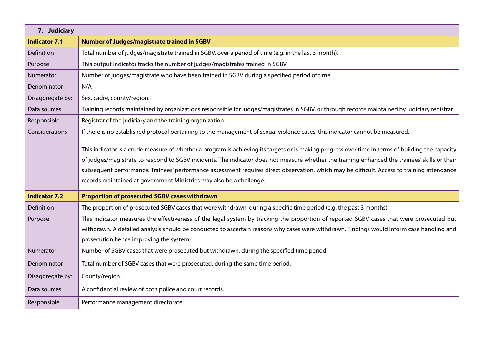| 7. Judiciary         |                                                                                                                                                   |
|----------------------|---------------------------------------------------------------------------------------------------------------------------------------------------|
| <b>Indicator 7.1</b> | <b>Number of Judges/magistrate trained in SGBV</b>                                                                                                |
| Definition           | Total number of judges/magistrate trained in SGBV, over a period of time (e.g. in the last 3 month).                                              |
| Purpose              | This output indicator tracks the number of judges/magistrates trained in SGBV.                                                                    |
| Numerator            | Number of judges/magistrate who have been trained in SGBV during a specified period of time.                                                      |
| Denominator          | N/A                                                                                                                                               |
| Disaggregate by:     | Sex, cadre, county/region.                                                                                                                        |
| Data sources         | Training records maintained by organizations responsible for judges/magistrates in SGBV, or through records maintained by judiciary registrar.    |
| Responsible          | Registrar of the judiciary and the training organization.                                                                                         |
| Considerations       | If there is no established protocol pertaining to the management of sexual violence cases, this indicator cannot be measured.                     |
|                      | This indicator is a crude measure of whether a program is achieving its targets or is making progress over time in terms of building the capacity |
|                      | of judges/magistrate to respond to SGBV incidents. The indicator does not measure whether the training enhanced the trainees' skills or their     |
|                      | subsequent performance. Trainees' performance assessment requires direct observation, which may be difficult. Access to training attendance       |
|                      | records maintained at government Ministries may also be a challenge.                                                                              |
| <b>Indicator 7.2</b> | <b>Proportion of prosecuted SGBV cases withdrawn</b>                                                                                              |
| Definition           | The proportion of prosecuted SGBV cases that were withdrawn, during a specific time period (e.g. the past 3 months).                              |
| Purpose              | This indicator measures the effectiveness of the legal system by tracking the proportion of reported SGBV cases that were prosecuted but          |
|                      | withdrawn. A detailed analysis should be conducted to ascertain reasons why cases were withdrawn. Findings would inform case handling and         |
|                      | prosecution hence improving the system.                                                                                                           |
| Numerator            | Number of SGBV cases that were prosecuted but withdrawn, during the specified time period.                                                        |
| Denominator          | Total number of SGBV cases that were prosecuted, during the same time period.                                                                     |
| Disaggregate by:     | County/region.                                                                                                                                    |
| Data sources         | A confidential review of both police and court records.                                                                                           |
| Responsible          | Performance management directorate.                                                                                                               |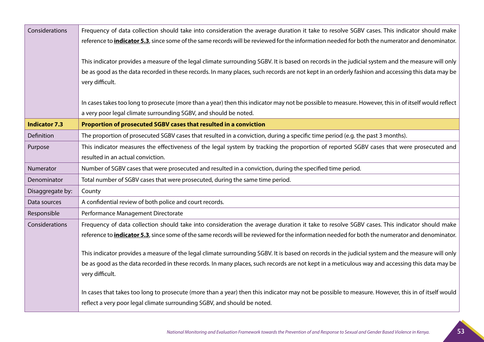| Considerations       | Frequency of data collection should take into consideration the average duration it take to resolve SGBV cases. This indicator should make             |
|----------------------|--------------------------------------------------------------------------------------------------------------------------------------------------------|
|                      | reference to <i>indicator 5.3</i> , since some of the same records will be reviewed for the information needed for both the numerator and denominator. |
|                      |                                                                                                                                                        |
|                      | This indicator provides a measure of the legal climate surrounding SGBV. It is based on records in the judicial system and the measure will only       |
|                      | be as good as the data recorded in these records. In many places, such records are not kept in an orderly fashion and accessing this data may be       |
|                      | very difficult.                                                                                                                                        |
|                      |                                                                                                                                                        |
|                      | In cases takes too long to prosecute (more than a year) then this indicator may not be possible to measure. However, this in of itself would reflect   |
|                      | a very poor legal climate surrounding SGBV, and should be noted.                                                                                       |
| <b>Indicator 7.3</b> | Proportion of prosecuted SGBV cases that resulted in a conviction                                                                                      |
| Definition           | The proportion of prosecuted SGBV cases that resulted in a conviction, during a specific time period (e.g. the past 3 months).                         |
| Purpose              | This indicator measures the effectiveness of the legal system by tracking the proportion of reported SGBV cases that were prosecuted and               |
|                      | resulted in an actual conviction.                                                                                                                      |
| Numerator            | Number of SGBV cases that were prosecuted and resulted in a conviction, during the specified time period.                                              |
| Denominator          | Total number of SGBV cases that were prosecuted, during the same time period.                                                                          |
| Disaggregate by:     | County                                                                                                                                                 |
| Data sources         | A confidential review of both police and court records.                                                                                                |
| Responsible          | Performance Management Directorate                                                                                                                     |
| Considerations       | Frequency of data collection should take into consideration the average duration it take to resolve SGBV cases. This indicator should make             |
|                      | reference to <i>indicator 5.3</i> , since some of the same records will be reviewed for the information needed for both the numerator and denominator. |
|                      |                                                                                                                                                        |
|                      | This indicator provides a measure of the legal climate surrounding SGBV. It is based on records in the judicial system and the measure will only       |
|                      | be as good as the data recorded in these records. In many places, such records are not kept in a meticulous way and accessing this data may be         |
|                      | very difficult.                                                                                                                                        |
|                      | In cases that takes too long to prosecute (more than a year) then this indicator may not be possible to measure. However, this in of itself would      |
|                      | reflect a very poor legal climate surrounding SGBV, and should be noted.                                                                               |
|                      |                                                                                                                                                        |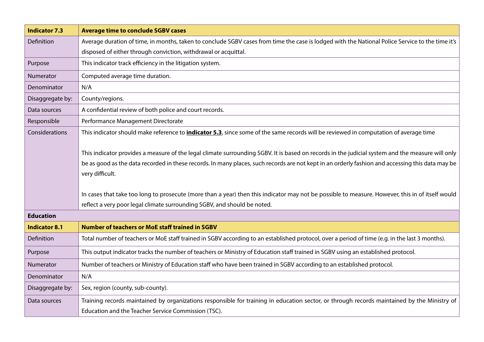| <b>Indicator 7.3</b>                                                                                                                             | <b>Average time to conclude SGBV cases</b>                                                                                                       |  |  |  |
|--------------------------------------------------------------------------------------------------------------------------------------------------|--------------------------------------------------------------------------------------------------------------------------------------------------|--|--|--|
| Definition                                                                                                                                       | Average duration of time, in months, taken to conclude SGBV cases from time the case is lodged with the National Police Service to the time it's |  |  |  |
|                                                                                                                                                  | disposed of either through conviction, withdrawal or acquittal.                                                                                  |  |  |  |
| Purpose                                                                                                                                          | This indicator track efficiency in the litigation system.                                                                                        |  |  |  |
| Numerator                                                                                                                                        | Computed average time duration.                                                                                                                  |  |  |  |
| Denominator                                                                                                                                      | N/A                                                                                                                                              |  |  |  |
| Disaggregate by:                                                                                                                                 | County/regions.                                                                                                                                  |  |  |  |
| Data sources                                                                                                                                     | A confidential review of both police and court records.                                                                                          |  |  |  |
| Responsible                                                                                                                                      | Performance Management Directorate                                                                                                               |  |  |  |
| Considerations                                                                                                                                   | This indicator should make reference to <i>indicator 5.3</i> , since some of the same records will be reviewed in computation of average time    |  |  |  |
|                                                                                                                                                  |                                                                                                                                                  |  |  |  |
| This indicator provides a measure of the legal climate surrounding SGBV. It is based on records in the judicial system and the measure will only |                                                                                                                                                  |  |  |  |
|                                                                                                                                                  | be as good as the data recorded in these records. In many places, such records are not kept in an orderly fashion and accessing this data may be |  |  |  |
|                                                                                                                                                  | very difficult.                                                                                                                                  |  |  |  |
|                                                                                                                                                  | In cases that take too long to prosecute (more than a year) then this indicator may not be possible to measure. However, this in of itself would |  |  |  |
|                                                                                                                                                  | reflect a very poor legal climate surrounding SGBV, and should be noted.                                                                         |  |  |  |
| <b>Education</b>                                                                                                                                 |                                                                                                                                                  |  |  |  |
| <b>Indicator 8.1</b>                                                                                                                             | <b>Number of teachers or MoE staff trained in SGBV</b>                                                                                           |  |  |  |
| Definition                                                                                                                                       | Total number of teachers or MoE staff trained in SGBV according to an established protocol, over a period of time (e.g. in the last 3 months).   |  |  |  |
| Purpose                                                                                                                                          | This output indicator tracks the number of teachers or Ministry of Education staff trained in SGBV using an established protocol.                |  |  |  |
| Numerator                                                                                                                                        | Number of teachers or Ministry of Education staff who have been trained in SGBV according to an established protocol.                            |  |  |  |
| Denominator                                                                                                                                      | N/A                                                                                                                                              |  |  |  |
| Disaggregate by:                                                                                                                                 | Sex, region (county, sub-county).                                                                                                                |  |  |  |
| Data sources                                                                                                                                     | Training records maintained by organizations responsible for training in education sector, or through records maintained by the Ministry of      |  |  |  |
|                                                                                                                                                  | Education and the Teacher Service Commission (TSC).                                                                                              |  |  |  |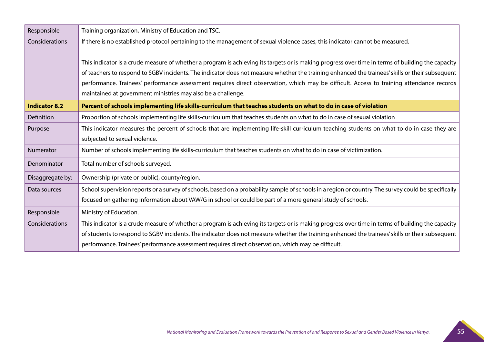| Responsible          | Training organization, Ministry of Education and TSC.                                                                                                |  |  |  |
|----------------------|------------------------------------------------------------------------------------------------------------------------------------------------------|--|--|--|
| Considerations       | If there is no established protocol pertaining to the management of sexual violence cases, this indicator cannot be measured.                        |  |  |  |
|                      |                                                                                                                                                      |  |  |  |
|                      | This indicator is a crude measure of whether a program is achieving its targets or is making progress over time in terms of building the capacity    |  |  |  |
|                      | of teachers to respond to SGBV incidents. The indicator does not measure whether the training enhanced the trainees' skills or their subsequent      |  |  |  |
|                      | performance. Trainees' performance assessment requires direct observation, which may be difficult. Access to training attendance records             |  |  |  |
|                      | maintained at government ministries may also be a challenge.                                                                                         |  |  |  |
| <b>Indicator 8.2</b> | Percent of schools implementing life skills-curriculum that teaches students on what to do in case of violation                                      |  |  |  |
| Definition           | Proportion of schools implementing life skills-curriculum that teaches students on what to do in case of sexual violation                            |  |  |  |
| Purpose              | This indicator measures the percent of schools that are implementing life-skill curriculum teaching students on what to do in case they are          |  |  |  |
|                      | subjected to sexual violence.                                                                                                                        |  |  |  |
| Numerator            | Number of schools implementing life skills-curriculum that teaches students on what to do in case of victimization.                                  |  |  |  |
| Denominator          | Total number of schools surveyed.                                                                                                                    |  |  |  |
| Disaggregate by:     | Ownership (private or public), county/region.                                                                                                        |  |  |  |
| Data sources         | School supervision reports or a survey of schools, based on a probability sample of schools in a region or country. The survey could be specifically |  |  |  |
|                      | focused on gathering information about VAW/G in school or could be part of a more general study of schools.                                          |  |  |  |
| Responsible          | Ministry of Education.                                                                                                                               |  |  |  |
| Considerations       | This indicator is a crude measure of whether a program is achieving its targets or is making progress over time in terms of building the capacity    |  |  |  |
|                      | of students to respond to SGBV incidents. The indicator does not measure whether the training enhanced the trainees' skills or their subsequent      |  |  |  |
|                      | performance. Trainees' performance assessment requires direct observation, which may be difficult.                                                   |  |  |  |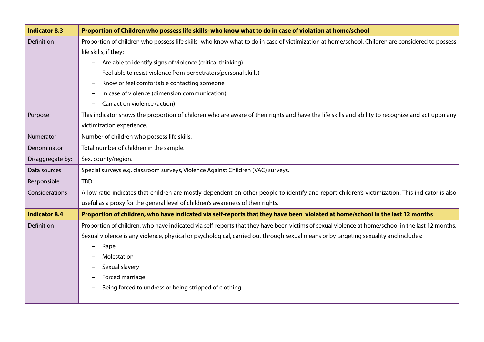| <b>Indicator 8.3</b> | Proportion of Children who possess life skills- who know what to do in case of violation at home/school                                          |  |  |  |
|----------------------|--------------------------------------------------------------------------------------------------------------------------------------------------|--|--|--|
| Definition           | Proportion of children who possess life skills- who know what to do in case of victimization at home/school. Children are considered to possess  |  |  |  |
|                      | life skills, if they:                                                                                                                            |  |  |  |
|                      | Are able to identify signs of violence (critical thinking)                                                                                       |  |  |  |
|                      | Feel able to resist violence from perpetrators(personal skills)                                                                                  |  |  |  |
|                      | Know or feel comfortable contacting someone                                                                                                      |  |  |  |
|                      | In case of violence (dimension communication)                                                                                                    |  |  |  |
|                      | Can act on violence (action)                                                                                                                     |  |  |  |
| Purpose              | This indicator shows the proportion of children who are aware of their rights and have the life skills and ability to recognize and act upon any |  |  |  |
|                      | victimization experience.                                                                                                                        |  |  |  |
| Numerator            | Number of children who possess life skills.                                                                                                      |  |  |  |
| Denominator          | Total number of children in the sample.                                                                                                          |  |  |  |
| Disaggregate by:     | Sex, county/region.                                                                                                                              |  |  |  |
| Data sources         | Special surveys e.g. classroom surveys, Violence Against Children (VAC) surveys.                                                                 |  |  |  |
| Responsible          | <b>TBD</b>                                                                                                                                       |  |  |  |
| Considerations       | A low ratio indicates that children are mostly dependent on other people to identify and report children's victimization. This indicator is also |  |  |  |
|                      | useful as a proxy for the general level of children's awareness of their rights.                                                                 |  |  |  |
| <b>Indicator 8.4</b> | Proportion of children, who have indicated via self-reports that they have been violated at home/school in the last 12 months                    |  |  |  |
| Definition           | Proportion of children, who have indicated via self-reports that they have been victims of sexual violence at home/school in the last 12 months. |  |  |  |
|                      | Sexual violence is any violence, physical or psychological, carried out through sexual means or by targeting sexuality and includes:             |  |  |  |
|                      | Rape                                                                                                                                             |  |  |  |
|                      | Molestation                                                                                                                                      |  |  |  |
|                      | Sexual slavery                                                                                                                                   |  |  |  |
|                      | Forced marriage                                                                                                                                  |  |  |  |
|                      | Being forced to undress or being stripped of clothing                                                                                            |  |  |  |
|                      |                                                                                                                                                  |  |  |  |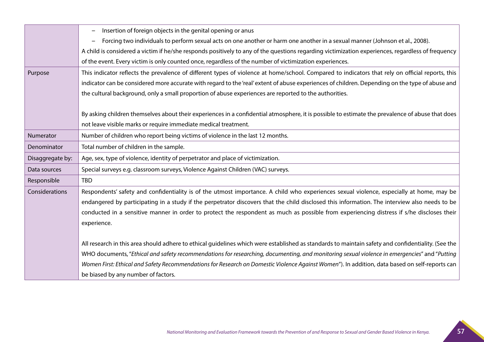|                  | Insertion of foreign objects in the genital opening or anus                                                                                        |  |  |  |
|------------------|----------------------------------------------------------------------------------------------------------------------------------------------------|--|--|--|
|                  | Forcing two individuals to perform sexual acts on one another or harm one another in a sexual manner (Johnson et al., 2008).                       |  |  |  |
|                  | A child is considered a victim if he/she responds positively to any of the questions regarding victimization experiences, regardless of frequency  |  |  |  |
|                  | of the event. Every victim is only counted once, regardless of the number of victimization experiences.                                            |  |  |  |
| Purpose          | This indicator reflects the prevalence of different types of violence at home/school. Compared to indicators that rely on official reports, this   |  |  |  |
|                  | indicator can be considered more accurate with regard to the 'real' extent of abuse experiences of children. Depending on the type of abuse and    |  |  |  |
|                  | the cultural background, only a small proportion of abuse experiences are reported to the authorities.                                             |  |  |  |
|                  |                                                                                                                                                    |  |  |  |
|                  | By asking children themselves about their experiences in a confidential atmosphere, it is possible to estimate the prevalence of abuse that does   |  |  |  |
|                  | not leave visible marks or require immediate medical treatment.                                                                                    |  |  |  |
| Numerator        | Number of children who report being victims of violence in the last 12 months.                                                                     |  |  |  |
| Denominator      | Total number of children in the sample.                                                                                                            |  |  |  |
| Disaggregate by: | Age, sex, type of violence, identity of perpetrator and place of victimization.                                                                    |  |  |  |
| Data sources     | Special surveys e.g. classroom surveys, Violence Against Children (VAC) surveys.                                                                   |  |  |  |
| Responsible      | <b>TBD</b>                                                                                                                                         |  |  |  |
|                  |                                                                                                                                                    |  |  |  |
| Considerations   | Respondents' safety and confidentiality is of the utmost importance. A child who experiences sexual violence, especially at home, may be           |  |  |  |
|                  | endangered by participating in a study if the perpetrator discovers that the child disclosed this information. The interview also needs to be      |  |  |  |
|                  | conducted in a sensitive manner in order to protect the respondent as much as possible from experiencing distress if s/he discloses their          |  |  |  |
|                  | experience.                                                                                                                                        |  |  |  |
|                  |                                                                                                                                                    |  |  |  |
|                  | All research in this area should adhere to ethical guidelines which were established as standards to maintain safety and confidentiality. (See the |  |  |  |
|                  | WHO documents, "Ethical and safety recommendations for researching, documenting, and monitoring sexual violence in emergencies" and "Putting       |  |  |  |
|                  | Women First: Ethical and Safety Recommendations for Research on Domestic Violence Against Women"). In addition, data based on self-reports can     |  |  |  |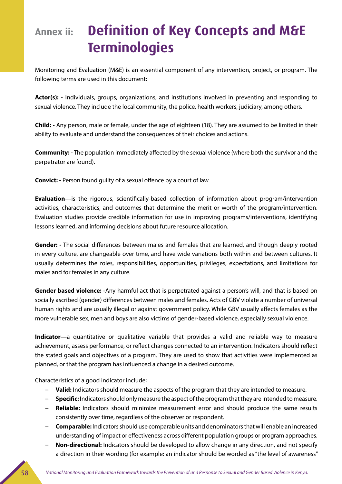### **Annex ii: Definition of Key Concepts and M&E Terminologies**

Monitoring and Evaluation (M&E) is an essential component of any intervention, project, or program. The following terms are used in this document:

**Actor(s): -** Individuals, groups, organizations, and institutions involved in preventing and responding to sexual violence. They include the local community, the police, health workers, judiciary, among others.

**Child: -** Any person, male or female, under the age of eighteen (18). They are assumed to be limited in their ability to evaluate and understand the consequences of their choices and actions.

**Community: -** The population immediately affected by the sexual violence (where both the survivor and the perpetrator are found).

**Convict: -** Person found guilty of a sexual offence by a court of law

**Evaluation**—is the rigorous, scientifically-based collection of information about program/intervention activities, characteristics, and outcomes that determine the merit or worth of the program/intervention. Evaluation studies provide credible information for use in improving programs/interventions, identifying lessons learned, and informing decisions about future resource allocation.

**Gender: -** The social differences between males and females that are learned, and though deeply rooted in every culture, are changeable over time, and have wide variations both within and between cultures. It usually determines the roles, responsibilities, opportunities, privileges, expectations, and limitations for males and for females in any culture.

**Gender based violence: -**Any harmful act that is perpetrated against a person's will, and that is based on socially ascribed (gender) differences between males and females. Acts of GBV violate a number of universal human rights and are usually illegal or against government policy. While GBV usually affects females as the more vulnerable sex, men and boys are also victims of gender-based violence, especially sexual violence.

**Indicator**—a quantitative or qualitative variable that provides a valid and reliable way to measure achievement, assess performance, or reflect changes connected to an intervention. Indicators should reflect the stated goals and objectives of a program. They are used to show that activities were implemented as planned, or that the program has influenced a change in a desired outcome.

Characteristics of a good indicator include;

- **Valid:** Indicators should measure the aspects of the program that they are intended to measure.
- **Specific:** Indicators should only measure the aspect of the program that they are intended to measure.
- **Reliable:** Indicators should minimize measurement error and should produce the same results consistently over time, regardless of the observer or respondent.
- **Comparable:** Indicators should use comparable units and denominators that will enable an increased understanding of impact or effectiveness across different population groups or program approaches.
- **Non-directional:** Indicators should be developed to allow change in any direction, and not specify a direction in their wording (for example: an indicator should be worded as "the level of awareness"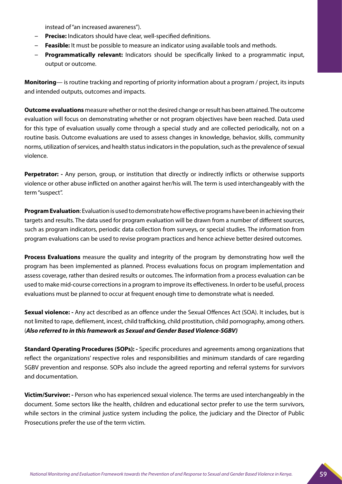instead of "an increased awareness").

- **Precise:** Indicators should have clear, well-specified definitions.
- **Feasible:** It must be possible to measure an indicator using available tools and methods.
- **Programmatically relevant:** Indicators should be specifically linked to a programmatic input, output or outcome.

**Monitoring**— is routine tracking and reporting of priority information about a program / project, its inputs and intended outputs, outcomes and impacts.

**Outcome evaluations** measure whether or not the desired change or result has been attained. The outcome evaluation will focus on demonstrating whether or not program objectives have been reached. Data used for this type of evaluation usually come through a special study and are collected periodically, not on a routine basis. Outcome evaluations are used to assess changes in knowledge, behavior, skills, community norms, utilization of services, and health status indicators in the population, such as the prevalence of sexual violence.

**Perpetrator:** - Any person, group, or institution that directly or indirectly inflicts or otherwise supports violence or other abuse inflicted on another against her/his will. The term is used interchangeably with the term "suspect".

**Program Evaluation**: Evaluation is used to demonstrate how effective programs have been in achieving their targets and results. The data used for program evaluation will be drawn from a number of different sources, such as program indicators, periodic data collection from surveys, or special studies. The information from program evaluations can be used to revise program practices and hence achieve better desired outcomes.

**Process Evaluations** measure the quality and integrity of the program by demonstrating how well the program has been implemented as planned. Process evaluations focus on program implementation and assess coverage, rather than desired results or outcomes. The information from a process evaluation can be used to make mid-course corrections in a program to improve its effectiveness. In order to be useful, process evaluations must be planned to occur at frequent enough time to demonstrate what is needed.

**Sexual violence: -** Any act described as an offence under the Sexual Offences Act (SOA). It includes, but is not limited to rape, defilement, incest, child trafficking, child prostitution, child pornography, among others. (*Also referred to in this framework as Sexual and Gender Based Violence-SGBV)*

**Standard Operating Procedures (SOPs): -** Specific procedures and agreements among organizations that reflect the organizations' respective roles and responsibilities and minimum standards of care regarding SGBV prevention and response. SOPs also include the agreed reporting and referral systems for survivors and documentation.

**Victim/Survivor: -** Person who has experienced sexual violence. The terms are used interchangeably in the document. Some sectors like the health, children and educational sector prefer to use the term survivors, while sectors in the criminal justice system including the police, the judiciary and the Director of Public Prosecutions prefer the use of the term victim.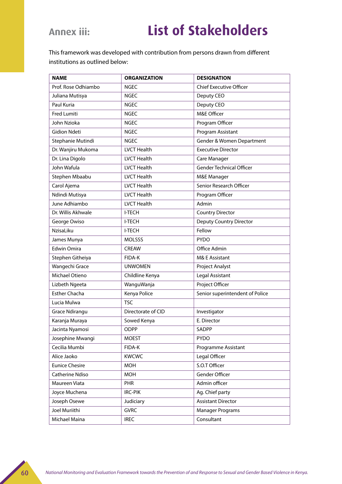### **Annex iii: List of Stakeholders**

This framework was developed with contribution from persons drawn from different institutions as outlined below:

| <b>NAME</b>           | <b>ORGANIZATION</b> | <b>DESIGNATION</b>              |
|-----------------------|---------------------|---------------------------------|
| Prof. Rose Odhiambo   | <b>NGEC</b>         | <b>Chief Executive Officer</b>  |
| Juliana Mutisya       | <b>NGEC</b>         | Deputy CEO                      |
| Paul Kuria            | <b>NGEC</b>         | Deputy CEO                      |
| <b>Fred Lumiti</b>    | <b>NGEC</b>         | M&E Officer                     |
| John Nzioka           | <b>NGEC</b>         | Program Officer                 |
| <b>Gidion Ndeti</b>   | <b>NGEC</b>         | Program Assistant               |
| Stephanie Mutindi     | <b>NGEC</b>         | Gender & Women Department       |
| Dr. Wanjiru Mukoma    | <b>LVCT Health</b>  | <b>Executive Director</b>       |
| Dr. Lina Digolo       | <b>LVCT Health</b>  | Care Manager                    |
| John Wafula           | <b>LVCT Health</b>  | <b>Gender Technical Officer</b> |
| Stephen Mbaabu        | <b>LVCT Health</b>  | M&E Manager                     |
| Carol Ajema           | <b>LVCT Health</b>  | Senior Research Officer         |
| Ndindi Mutisya        | <b>LVCT Health</b>  | Program Officer                 |
| June Adhiambo         | <b>LVCT Health</b>  | Admin                           |
| Dr. Willis Akhwale    | <b>I-TECH</b>       | <b>Country Director</b>         |
| George Owiso          | <b>I-TECH</b>       | <b>Deputy Country Director</b>  |
| NzisaLiku             | <b>I-TECH</b>       | Fellow                          |
| James Munya           | <b>MOLSSS</b>       | <b>PYDO</b>                     |
| <b>Edwin Omira</b>    | <b>CREAW</b>        | Office Admin                    |
| Stephen Githeiya      | FIDA-K              | M& E Assistant                  |
| Wangechi Grace        | <b>UNWOMEN</b>      | Project Analyst                 |
| Michael Otieno        | Childline Kenya     | Legal Assistant                 |
| Lizbeth Ngeeta        | WanguWanja          | Project Officer                 |
| <b>Esther Chacha</b>  | Kenya Police        | Senior superintendent of Police |
| Lucia Mulwa           | <b>TSC</b>          |                                 |
| <b>Grace Ndirangu</b> | Directorate of CID  | Investigator                    |
| Karanja Muraya        | Sowed Kenya         | E. Director                     |
| Jacinta Nyamosi       | ODPP                | SADPP                           |
| Josephine Mwangi      | MOEST               | <b>PYDO</b>                     |
| Cecilia Mumbi         | FIDA-K              | Programme Assistant             |
| Alice Jaoko           | <b>KWCWC</b>        | Legal Officer                   |
| <b>Eunice Chesire</b> | <b>MOH</b>          | S.O.T Officer                   |
| Catherine Ndiso       | <b>MOH</b>          | Gender Officer                  |
| Maureen Viata         | <b>PHR</b>          | Admin officer                   |
| Joyce Muchena         | IRC-PIK             | Ag. Chief party                 |
| Joseph Osewe          | Judiciary           | <b>Assistant Director</b>       |
| Joel Muriithi         | <b>GVRC</b>         | <b>Manager Programs</b>         |
| Michael Maina         | <b>IREC</b>         | Consultant                      |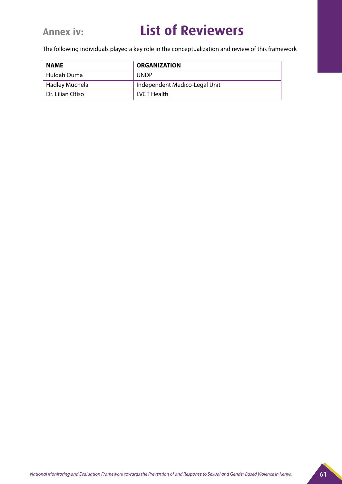### **Annex iv: List of Reviewers**

The following individuals played a key role in the conceptualization and review of this framework

| <b>NAME</b>      | <b>ORGANIZATION</b>           |  |
|------------------|-------------------------------|--|
| Huldah Ouma      | <b>UNDP</b>                   |  |
| Hadley Muchela   | Independent Medico-Legal Unit |  |
| Dr. Lilian Otiso | LVCT Health                   |  |